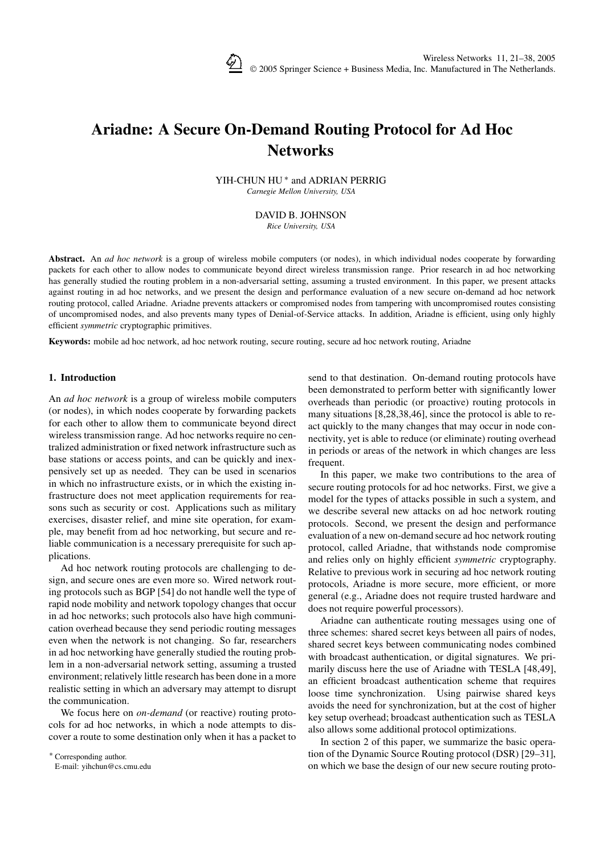

# **Ariadne: A Secure On-Demand Routing Protocol for Ad Hoc Networks**

YIH-CHUN HU<sup>\*</sup> and ADRIAN PERRIG *Carnegie Mellon University, USA*

> DAVID B. JOHNSON *Rice University, USA*

**Abstract.** An *ad hoc network* is a group of wireless mobile computers (or nodes), in which individual nodes cooperate by forwarding packets for each other to allow nodes to communicate beyond direct wireless transmission range. Prior research in ad hoc networking has generally studied the routing problem in a non-adversarial setting, assuming a trusted environment. In this paper, we present attacks against routing in ad hoc networks, and we present the design and performance evaluation of a new secure on-demand ad hoc network routing protocol, called Ariadne. Ariadne prevents attackers or compromised nodes from tampering with uncompromised routes consisting of uncompromised nodes, and also prevents many types of Denial-of-Service attacks. In addition, Ariadne is efficient, using only highly efficient *symmetric* cryptographic primitives.

**Keywords:** mobile ad hoc network, ad hoc network routing, secure routing, secure ad hoc network routing, Ariadne

## **1. Introduction**

An *ad hoc network* is a group of wireless mobile computers (or nodes), in which nodes cooperate by forwarding packets for each other to allow them to communicate beyond direct wireless transmission range. Ad hoc networks require no centralized administration or fixed network infrastructure such as base stations or access points, and can be quickly and inexpensively set up as needed. They can be used in scenarios in which no infrastructure exists, or in which the existing infrastructure does not meet application requirements for reasons such as security or cost. Applications such as military exercises, disaster relief, and mine site operation, for example, may benefit from ad hoc networking, but secure and reliable communication is a necessary prerequisite for such applications.

Ad hoc network routing protocols are challenging to design, and secure ones are even more so. Wired network routing protocols such as BGP [54] do not handle well the type of rapid node mobility and network topology changes that occur in ad hoc networks; such protocols also have high communication overhead because they send periodic routing messages even when the network is not changing. So far, researchers in ad hoc networking have generally studied the routing problem in a non-adversarial network setting, assuming a trusted environment; relatively little research has been done in a more realistic setting in which an adversary may attempt to disrupt the communication.

We focus here on *on-demand* (or reactive) routing protocols for ad hoc networks, in which a node attempts to discover a route to some destination only when it has a packet to

∗ Corresponding author.

E-mail: yihchun@cs.cmu.edu

send to that destination. On-demand routing protocols have been demonstrated to perform better with significantly lower overheads than periodic (or proactive) routing protocols in many situations [8,28,38,46], since the protocol is able to react quickly to the many changes that may occur in node connectivity, yet is able to reduce (or eliminate) routing overhead in periods or areas of the network in which changes are less frequent.

In this paper, we make two contributions to the area of secure routing protocols for ad hoc networks. First, we give a model for the types of attacks possible in such a system, and we describe several new attacks on ad hoc network routing protocols. Second, we present the design and performance evaluation of a new on-demand secure ad hoc network routing protocol, called Ariadne, that withstands node compromise and relies only on highly efficient *symmetric* cryptography. Relative to previous work in securing ad hoc network routing protocols, Ariadne is more secure, more efficient, or more general (e.g., Ariadne does not require trusted hardware and does not require powerful processors).

Ariadne can authenticate routing messages using one of three schemes: shared secret keys between all pairs of nodes, shared secret keys between communicating nodes combined with broadcast authentication, or digital signatures. We primarily discuss here the use of Ariadne with TESLA [48,49], an efficient broadcast authentication scheme that requires loose time synchronization. Using pairwise shared keys avoids the need for synchronization, but at the cost of higher key setup overhead; broadcast authentication such as TESLA also allows some additional protocol optimizations.

In section 2 of this paper, we summarize the basic operation of the Dynamic Source Routing protocol (DSR) [29–31], on which we base the design of our new secure routing proto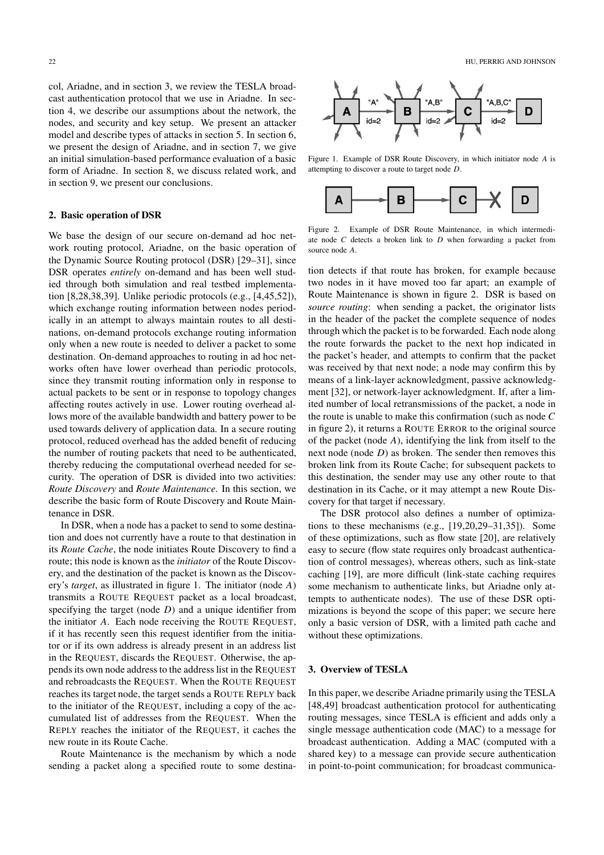col, Ariadne, and in section 3, we review the TESLA broadcast authentication protocol that we use in Ariadne. In section 4, we describe our assumptions about the network, the nodes, and security and key setup. We present an attacker model and describe types of attacks in section 5. In section 6, we present the design of Ariadne, and in section 7, we give an initial simulation-based performance evaluation of a basic form of Ariadne. In section 8, we discuss related work, and in section 9, we present our conclusions.

## **2. Basic operation of DSR**

We base the design of our secure on-demand ad hoc network routing protocol, Ariadne, on the basic operation of the Dynamic Source Routing protocol (DSR) [29–31], since DSR operates *entirely* on-demand and has been well studied through both simulation and real testbed implementation [8,28,38,39]. Unlike periodic protocols (e.g., [4,45,52]), which exchange routing information between nodes periodically in an attempt to always maintain routes to all destinations, on-demand protocols exchange routing information only when a new route is needed to deliver a packet to some destination. On-demand approaches to routing in ad hoc networks often have lower overhead than periodic protocols, since they transmit routing information only in response to actual packets to be sent or in response to topology changes affecting routes actively in use. Lower routing overhead allows more of the available bandwidth and battery power to be used towards delivery of application data. In a secure routing protocol, reduced overhead has the added benefit of reducing the number of routing packets that need to be authenticated, thereby reducing the computational overhead needed for security. The operation of DSR is divided into two activities: *Route Discovery* and *Route Maintenance*. In this section, we describe the basic form of Route Discovery and Route Maintenance in DSR.

In DSR, when a node has a packet to send to some destination and does not currently have a route to that destination in its *Route Cache*, the node initiates Route Discovery to find a route; this node is known as the *initiator* of the Route Discovery, and the destination of the packet is known as the Discovery's *target*, as illustrated in figure 1. The initiator (node *A*) transmits a ROUTE REQUEST packet as a local broadcast, specifying the target (node *D*) and a unique identifier from the initiator *A*. Each node receiving the ROUTE REQUEST, if it has recently seen this request identifier from the initiator or if its own address is already present in an address list in the REQUEST, discards the REQUEST. Otherwise, the appends its own node address to the address list in the REQUEST and rebroadcasts the REQUEST. When the ROUTE REQUEST reaches its target node, the target sends a ROUTE REPLY back to the initiator of the REQUEST, including a copy of the accumulated list of addresses from the REQUEST. When the REPLY reaches the initiator of the REQUEST, it caches the new route in its Route Cache.

Route Maintenance is the mechanism by which a node sending a packet along a specified route to some destina-



Figure 1. Example of DSR Route Discovery, in which initiator node *A* is attempting to discover a route to target node *D*.



Figure 2. Example of DSR Route Maintenance, in which intermediate node *C* detects a broken link to *D* when forwarding a packet from source node *A*.

tion detects if that route has broken, for example because two nodes in it have moved too far apart; an example of Route Maintenance is shown in figure 2. DSR is based on *source routing*: when sending a packet, the originator lists in the header of the packet the complete sequence of nodes through which the packet is to be forwarded. Each node along the route forwards the packet to the next hop indicated in the packet's header, and attempts to confirm that the packet was received by that next node; a node may confirm this by means of a link-layer acknowledgment, passive acknowledgment [32], or network-layer acknowledgment. If, after a limited number of local retransmissions of the packet, a node in the route is unable to make this confirmation (such as node *C* in figure 2), it returns a ROUTE ERROR to the original source of the packet (node *A*), identifying the link from itself to the next node (node *D*) as broken. The sender then removes this broken link from its Route Cache; for subsequent packets to this destination, the sender may use any other route to that destination in its Cache, or it may attempt a new Route Discovery for that target if necessary.

The DSR protocol also defines a number of optimizations to these mechanisms (e.g., [19,20,29–31,35]). Some of these optimizations, such as flow state [20], are relatively easy to secure (flow state requires only broadcast authentication of control messages), whereas others, such as link-state caching [19], are more difficult (link-state caching requires some mechanism to authenticate links, but Ariadne only attempts to authenticate nodes). The use of these DSR optimizations is beyond the scope of this paper; we secure here only a basic version of DSR, with a limited path cache and without these optimizations.

## **3. Overview of TESLA**

In this paper, we describe Ariadne primarily using the TESLA [48,49] broadcast authentication protocol for authenticating routing messages, since TESLA is efficient and adds only a single message authentication code (MAC) to a message for broadcast authentication. Adding a MAC (computed with a shared key) to a message can provide secure authentication in point-to-point communication; for broadcast communica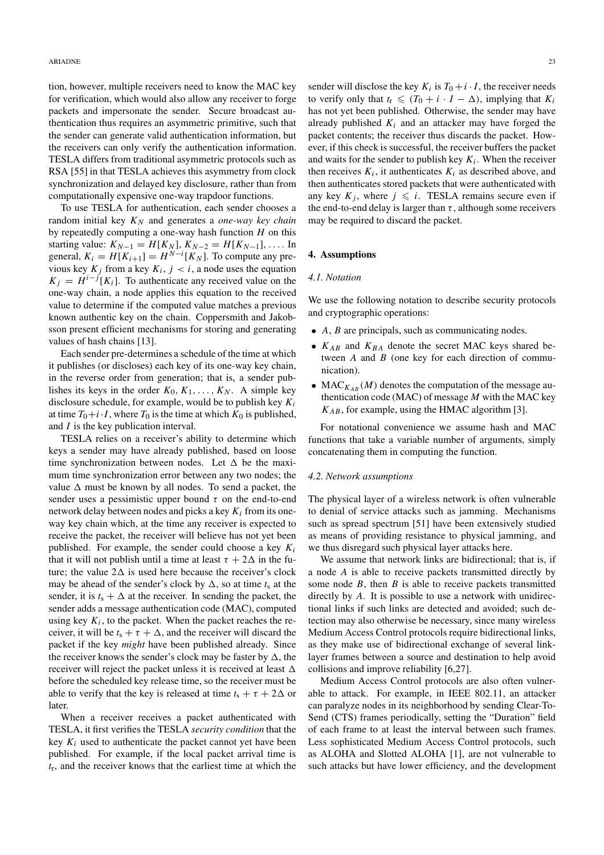tion, however, multiple receivers need to know the MAC key for verification, which would also allow any receiver to forge packets and impersonate the sender. Secure broadcast authentication thus requires an asymmetric primitive, such that the sender can generate valid authentication information, but the receivers can only verify the authentication information. TESLA differs from traditional asymmetric protocols such as RSA [55] in that TESLA achieves this asymmetry from clock synchronization and delayed key disclosure, rather than from computationally expensive one-way trapdoor functions.

To use TESLA for authentication, each sender chooses a random initial key  $K_N$  and generates a *one-way key chain* by repeatedly computing a one-way hash function *H* on this starting value:  $K_{N-1} = H[K_N], K_{N-2} = H[K_{N-1}], \dots$  In general,  $K_i = H[K_{i+1}] = H^{N-i}[K_N]$ . To compute any previous key  $K_j$  from a key  $K_i$ ,  $j < i$ , a node uses the equation  $K_i = H^{i-j}[K_i]$ . To authenticate any received value on the one-way chain, a node applies this equation to the received value to determine if the computed value matches a previous known authentic key on the chain. Coppersmith and Jakobsson present efficient mechanisms for storing and generating values of hash chains [13].

Each sender pre-determines a schedule of the time at which it publishes (or discloses) each key of its one-way key chain, in the reverse order from generation; that is, a sender publishes its keys in the order  $K_0, K_1, \ldots, K_N$ . A simple key disclosure schedule, for example, would be to publish key *Ki* at time  $T_0+i \cdot I$ , where  $T_0$  is the time at which  $K_0$  is published, and *I* is the key publication interval.

TESLA relies on a receiver's ability to determine which keys a sender may have already published, based on loose time synchronization between nodes. Let  $\Delta$  be the maximum time synchronization error between any two nodes; the value  $\Delta$  must be known by all nodes. To send a packet, the sender uses a pessimistic upper bound  $\tau$  on the end-to-end network delay between nodes and picks a key  $K_i$  from its oneway key chain which, at the time any receiver is expected to receive the packet, the receiver will believe has not yet been published. For example, the sender could choose a key *Ki* that it will not publish until a time at least  $\tau + 2\Delta$  in the future; the value  $2\Delta$  is used here because the receiver's clock may be ahead of the sender's clock by  $\Delta$ , so at time  $t_s$  at the sender, it is  $t_s + \Delta$  at the receiver. In sending the packet, the sender adds a message authentication code (MAC), computed using key  $K_i$ , to the packet. When the packet reaches the receiver, it will be  $t_s + \tau + \Delta$ , and the receiver will discard the packet if the key *might* have been published already. Since the receiver knows the sender's clock may be faster by  $\Delta$ , the receiver will reject the packet unless it is received at least  $\Delta$ before the scheduled key release time, so the receiver must be able to verify that the key is released at time  $t_s + \tau + 2\Delta$  or later.

When a receiver receives a packet authenticated with TESLA, it first verifies the TESLA *security condition* that the key  $K_i$  used to authenticate the packet cannot yet have been published. For example, if the local packet arrival time is *t*r, and the receiver knows that the earliest time at which the sender will disclose the key  $K_i$  is  $T_0 + i \cdot I$ , the receiver needs to verify only that  $t_r \leq (T_0 + i \cdot I - \Delta)$ , implying that  $K_i$ has not yet been published. Otherwise, the sender may have already published  $K_i$  and an attacker may have forged the packet contents; the receiver thus discards the packet. However, if this check is successful, the receiver buffers the packet and waits for the sender to publish key  $K_i$ . When the receiver then receives  $K_i$ , it authenticates  $K_i$  as described above, and then authenticates stored packets that were authenticated with any key  $K_i$ , where  $j \leq i$ . TESLA remains secure even if the end-to-end delay is larger than  $\tau$ , although some receivers may be required to discard the packet.

## **4. Assumptions**

#### *4.1. Notation*

We use the following notation to describe security protocols and cryptographic operations:

- *A*, *B* are principals, such as communicating nodes.
- $K_{AB}$  and  $K_{BA}$  denote the secret MAC keys shared between *A* and *B* (one key for each direction of communication).
- MAC<sub>*K<sub>AB</sub>*  $(M)$  denotes the computation of the message au-</sub> thentication code (MAC) of message *M* with the MAC key  $K_{AB}$ , for example, using the HMAC algorithm [3].

For notational convenience we assume hash and MAC functions that take a variable number of arguments, simply concatenating them in computing the function.

## *4.2. Network assumptions*

The physical layer of a wireless network is often vulnerable to denial of service attacks such as jamming. Mechanisms such as spread spectrum [51] have been extensively studied as means of providing resistance to physical jamming, and we thus disregard such physical layer attacks here.

We assume that network links are bidirectional; that is, if a node *A* is able to receive packets transmitted directly by some node *B*, then *B* is able to receive packets transmitted directly by *A*. It is possible to use a network with unidirectional links if such links are detected and avoided; such detection may also otherwise be necessary, since many wireless Medium Access Control protocols require bidirectional links, as they make use of bidirectional exchange of several linklayer frames between a source and destination to help avoid collisions and improve reliability [6,27].

Medium Access Control protocols are also often vulnerable to attack. For example, in IEEE 802.11, an attacker can paralyze nodes in its neighborhood by sending Clear-To-Send (CTS) frames periodically, setting the "Duration" field of each frame to at least the interval between such frames. Less sophisticated Medium Access Control protocols, such as ALOHA and Slotted ALOHA [1], are not vulnerable to such attacks but have lower efficiency, and the development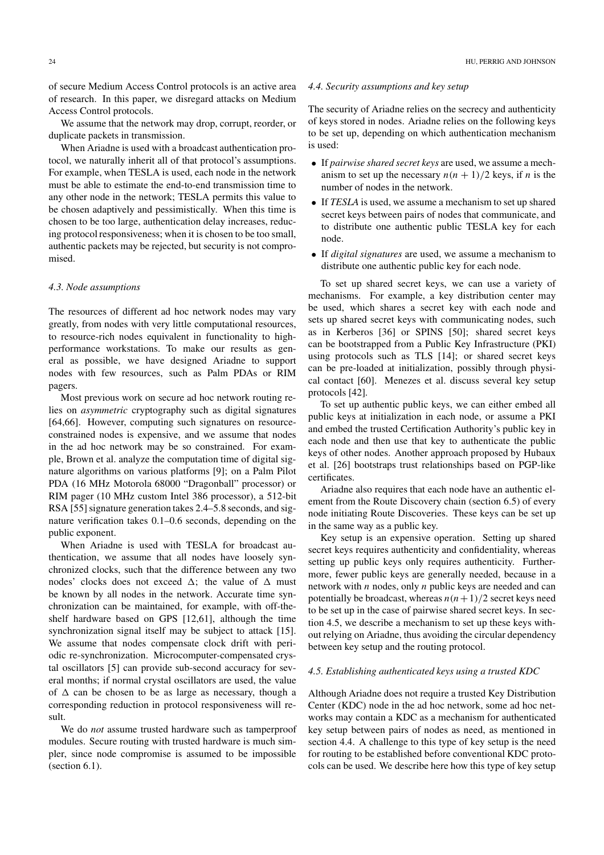of secure Medium Access Control protocols is an active area of research. In this paper, we disregard attacks on Medium Access Control protocols.

We assume that the network may drop, corrupt, reorder, or duplicate packets in transmission.

When Ariadne is used with a broadcast authentication protocol, we naturally inherit all of that protocol's assumptions. For example, when TESLA is used, each node in the network must be able to estimate the end-to-end transmission time to any other node in the network; TESLA permits this value to be chosen adaptively and pessimistically. When this time is chosen to be too large, authentication delay increases, reducing protocol responsiveness; when it is chosen to be too small, authentic packets may be rejected, but security is not compromised.

## *4.3. Node assumptions*

The resources of different ad hoc network nodes may vary greatly, from nodes with very little computational resources, to resource-rich nodes equivalent in functionality to highperformance workstations. To make our results as general as possible, we have designed Ariadne to support nodes with few resources, such as Palm PDAs or RIM pagers.

Most previous work on secure ad hoc network routing relies on *asymmetric* cryptography such as digital signatures [64,66]. However, computing such signatures on resourceconstrained nodes is expensive, and we assume that nodes in the ad hoc network may be so constrained. For example, Brown et al. analyze the computation time of digital signature algorithms on various platforms [9]; on a Palm Pilot PDA (16 MHz Motorola 68000 "Dragonball" processor) or RIM pager (10 MHz custom Intel 386 processor), a 512-bit RSA [55] signature generation takes 2.4–5.8 seconds, and signature verification takes 0.1–0.6 seconds, depending on the public exponent.

When Ariadne is used with TESLA for broadcast authentication, we assume that all nodes have loosely synchronized clocks, such that the difference between any two nodes' clocks does not exceed  $\Delta$ ; the value of  $\Delta$  must be known by all nodes in the network. Accurate time synchronization can be maintained, for example, with off-theshelf hardware based on GPS [12,61], although the time synchronization signal itself may be subject to attack [15]. We assume that nodes compensate clock drift with periodic re-synchronization. Microcomputer-compensated crystal oscillators [5] can provide sub-second accuracy for several months; if normal crystal oscillators are used, the value of  $\Delta$  can be chosen to be as large as necessary, though a corresponding reduction in protocol responsiveness will result.

We do *not* assume trusted hardware such as tamperproof modules. Secure routing with trusted hardware is much simpler, since node compromise is assumed to be impossible (section 6.1).

# *4.4. Security assumptions and key setup*

The security of Ariadne relies on the secrecy and authenticity of keys stored in nodes. Ariadne relies on the following keys to be set up, depending on which authentication mechanism is used:

- If *pairwise shared secret keys* are used, we assume a mechanism to set up the necessary  $n(n + 1)/2$  keys, if *n* is the number of nodes in the network.
- If *TESLA* is used, we assume a mechanism to set up shared secret keys between pairs of nodes that communicate, and to distribute one authentic public TESLA key for each node.
- If *digital signatures* are used, we assume a mechanism to distribute one authentic public key for each node.

To set up shared secret keys, we can use a variety of mechanisms. For example, a key distribution center may be used, which shares a secret key with each node and sets up shared secret keys with communicating nodes, such as in Kerberos [36] or SPINS [50]; shared secret keys can be bootstrapped from a Public Key Infrastructure (PKI) using protocols such as TLS [14]; or shared secret keys can be pre-loaded at initialization, possibly through physical contact [60]. Menezes et al. discuss several key setup protocols [42].

To set up authentic public keys, we can either embed all public keys at initialization in each node, or assume a PKI and embed the trusted Certification Authority's public key in each node and then use that key to authenticate the public keys of other nodes. Another approach proposed by Hubaux et al. [26] bootstraps trust relationships based on PGP-like certificates.

Ariadne also requires that each node have an authentic element from the Route Discovery chain (section 6.5) of every node initiating Route Discoveries. These keys can be set up in the same way as a public key.

Key setup is an expensive operation. Setting up shared secret keys requires authenticity and confidentiality, whereas setting up public keys only requires authenticity. Furthermore, fewer public keys are generally needed, because in a network with *n* nodes, only *n* public keys are needed and can potentially be broadcast, whereas  $n(n+1)/2$  secret keys need to be set up in the case of pairwise shared secret keys. In section 4.5, we describe a mechanism to set up these keys without relying on Ariadne, thus avoiding the circular dependency between key setup and the routing protocol.

## *4.5. Establishing authenticated keys using a trusted KDC*

Although Ariadne does not require a trusted Key Distribution Center (KDC) node in the ad hoc network, some ad hoc networks may contain a KDC as a mechanism for authenticated key setup between pairs of nodes as need, as mentioned in section 4.4. A challenge to this type of key setup is the need for routing to be established before conventional KDC protocols can be used. We describe here how this type of key setup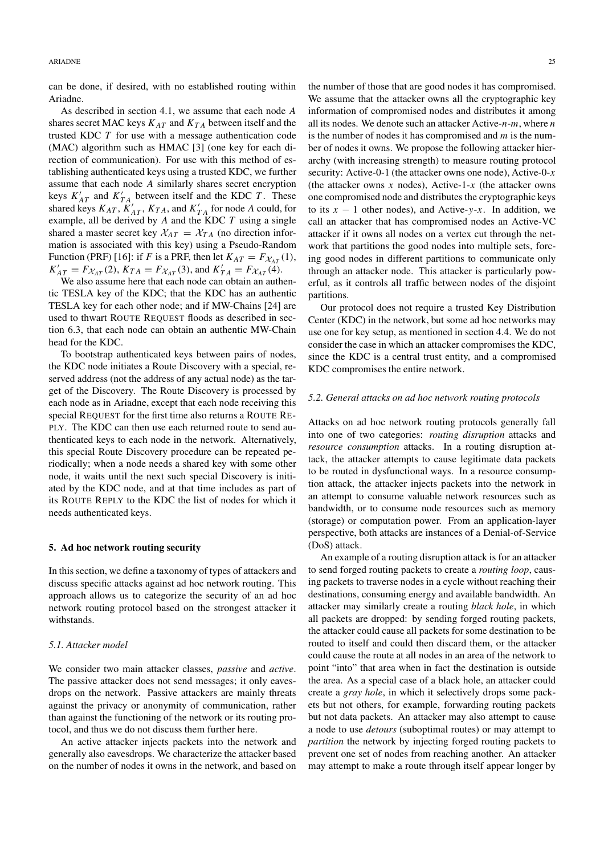can be done, if desired, with no established routing within Ariadne.

As described in section 4.1, we assume that each node *A* shares secret MAC keys  $K_{AT}$  and  $K_{TA}$  between itself and the trusted KDC *T* for use with a message authentication code (MAC) algorithm such as HMAC [3] (one key for each direction of communication). For use with this method of establishing authenticated keys using a trusted KDC, we further assume that each node *A* similarly shares secret encryption keys  $K'_{AT}$  and  $K'_{TA}$  between itself and the KDC *T*. These shared keys  $K_{AT}$ ,  $K'_{AT}$ ,  $K_{TA}$ , and  $K'_{TA}$  for node *A* could, for example, all be derived by *A* and the KDC *T* using a single shared a master secret key  $\mathcal{X}_{AT} = \mathcal{X}_{TA}$  (no direction information is associated with this key) using a Pseudo-Random Function (PRF) [16]: if *F* is a PRF, then let  $K_{AT} = F_{\mathcal{X}_{AT}}(1)$ ,  $K'_{AT} = F_{\mathcal{X}_{AT}}(2)$ ,  $K_{TA} = F_{\mathcal{X}_{AT}}(3)$ , and  $K'_{TA} = F_{\mathcal{X}_{AT}}(4)$ .

We also assume here that each node can obtain an authentic TESLA key of the KDC; that the KDC has an authentic TESLA key for each other node; and if MW-Chains [24] are used to thwart ROUTE REQUEST floods as described in section 6.3, that each node can obtain an authentic MW-Chain head for the KDC.

To bootstrap authenticated keys between pairs of nodes, the KDC node initiates a Route Discovery with a special, reserved address (not the address of any actual node) as the target of the Discovery. The Route Discovery is processed by each node as in Ariadne, except that each node receiving this special REQUEST for the first time also returns a ROUTE RE-PLY. The KDC can then use each returned route to send authenticated keys to each node in the network. Alternatively, this special Route Discovery procedure can be repeated periodically; when a node needs a shared key with some other node, it waits until the next such special Discovery is initiated by the KDC node, and at that time includes as part of its ROUTE REPLY to the KDC the list of nodes for which it needs authenticated keys.

## **5. Ad hoc network routing security**

In this section, we define a taxonomy of types of attackers and discuss specific attacks against ad hoc network routing. This approach allows us to categorize the security of an ad hoc network routing protocol based on the strongest attacker it withstands.

#### *5.1. Attacker model*

We consider two main attacker classes, *passive* and *active*. The passive attacker does not send messages; it only eavesdrops on the network. Passive attackers are mainly threats against the privacy or anonymity of communication, rather than against the functioning of the network or its routing protocol, and thus we do not discuss them further here.

An active attacker injects packets into the network and generally also eavesdrops. We characterize the attacker based on the number of nodes it owns in the network, and based on

the number of those that are good nodes it has compromised. We assume that the attacker owns all the cryptographic key information of compromised nodes and distributes it among all its nodes. We denote such an attacker Active-*n*-*m*, where *n* is the number of nodes it has compromised and *m* is the number of nodes it owns. We propose the following attacker hierarchy (with increasing strength) to measure routing protocol security: Active-0-1 (the attacker owns one node), Active-0-*x* (the attacker owns *x* nodes), Active-1-*x* (the attacker owns one compromised node and distributes the cryptographic keys to its  $x - 1$  other nodes), and Active-*y*-*x*. In addition, we call an attacker that has compromised nodes an Active-VC attacker if it owns all nodes on a vertex cut through the network that partitions the good nodes into multiple sets, forcing good nodes in different partitions to communicate only through an attacker node. This attacker is particularly powerful, as it controls all traffic between nodes of the disjoint partitions.

Our protocol does not require a trusted Key Distribution Center (KDC) in the network, but some ad hoc networks may use one for key setup, as mentioned in section 4.4. We do not consider the case in which an attacker compromises the KDC, since the KDC is a central trust entity, and a compromised KDC compromises the entire network.

#### *5.2. General attacks on ad hoc network routing protocols*

Attacks on ad hoc network routing protocols generally fall into one of two categories: *routing disruption* attacks and *resource consumption* attacks. In a routing disruption attack, the attacker attempts to cause legitimate data packets to be routed in dysfunctional ways. In a resource consumption attack, the attacker injects packets into the network in an attempt to consume valuable network resources such as bandwidth, or to consume node resources such as memory (storage) or computation power. From an application-layer perspective, both attacks are instances of a Denial-of-Service (DoS) attack.

An example of a routing disruption attack is for an attacker to send forged routing packets to create a *routing loop*, causing packets to traverse nodes in a cycle without reaching their destinations, consuming energy and available bandwidth. An attacker may similarly create a routing *black hole*, in which all packets are dropped: by sending forged routing packets, the attacker could cause all packets for some destination to be routed to itself and could then discard them, or the attacker could cause the route at all nodes in an area of the network to point "into" that area when in fact the destination is outside the area. As a special case of a black hole, an attacker could create a *gray hole*, in which it selectively drops some packets but not others, for example, forwarding routing packets but not data packets. An attacker may also attempt to cause a node to use *detours* (suboptimal routes) or may attempt to *partition* the network by injecting forged routing packets to prevent one set of nodes from reaching another. An attacker may attempt to make a route through itself appear longer by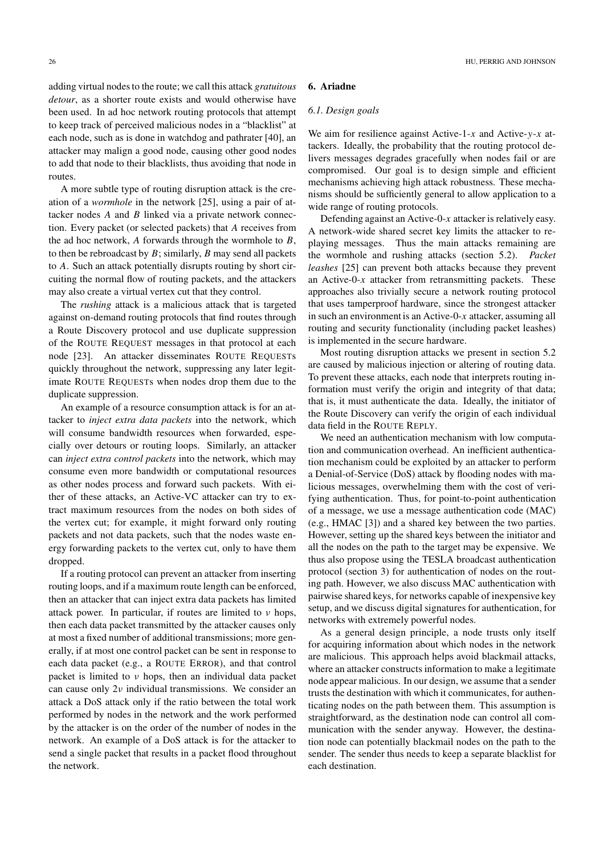adding virtual nodes to the route; we call this attack *gratuitous detour*, as a shorter route exists and would otherwise have been used. In ad hoc network routing protocols that attempt to keep track of perceived malicious nodes in a "blacklist" at each node, such as is done in watchdog and pathrater [40], an attacker may malign a good node, causing other good nodes to add that node to their blacklists, thus avoiding that node in routes.

A more subtle type of routing disruption attack is the creation of a *wormhole* in the network [25], using a pair of attacker nodes *A* and *B* linked via a private network connection. Every packet (or selected packets) that *A* receives from the ad hoc network, *A* forwards through the wormhole to *B*, to then be rebroadcast by *B*; similarly, *B* may send all packets to *A*. Such an attack potentially disrupts routing by short circuiting the normal flow of routing packets, and the attackers may also create a virtual vertex cut that they control.

The *rushing* attack is a malicious attack that is targeted against on-demand routing protocols that find routes through a Route Discovery protocol and use duplicate suppression of the ROUTE REQUEST messages in that protocol at each node [23]. An attacker disseminates ROUTE REQUESTs quickly throughout the network, suppressing any later legitimate ROUTE REQUESTs when nodes drop them due to the duplicate suppression.

An example of a resource consumption attack is for an attacker to *inject extra data packets* into the network, which will consume bandwidth resources when forwarded, especially over detours or routing loops. Similarly, an attacker can *inject extra control packets* into the network, which may consume even more bandwidth or computational resources as other nodes process and forward such packets. With either of these attacks, an Active-VC attacker can try to extract maximum resources from the nodes on both sides of the vertex cut; for example, it might forward only routing packets and not data packets, such that the nodes waste energy forwarding packets to the vertex cut, only to have them dropped.

If a routing protocol can prevent an attacker from inserting routing loops, and if a maximum route length can be enforced, then an attacker that can inject extra data packets has limited attack power. In particular, if routes are limited to *ν* hops, then each data packet transmitted by the attacker causes only at most a fixed number of additional transmissions; more generally, if at most one control packet can be sent in response to each data packet (e.g., a ROUTE ERROR), and that control packet is limited to *ν* hops, then an individual data packet can cause only 2*ν* individual transmissions. We consider an attack a DoS attack only if the ratio between the total work performed by nodes in the network and the work performed by the attacker is on the order of the number of nodes in the network. An example of a DoS attack is for the attacker to send a single packet that results in a packet flood throughout the network.

## **6. Ariadne**

## *6.1. Design goals*

We aim for resilience against Active-1-*x* and Active-*y*-*x* attackers. Ideally, the probability that the routing protocol delivers messages degrades gracefully when nodes fail or are compromised. Our goal is to design simple and efficient mechanisms achieving high attack robustness. These mechanisms should be sufficiently general to allow application to a wide range of routing protocols.

Defending against an Active-0-*x* attacker is relatively easy. A network-wide shared secret key limits the attacker to replaying messages. Thus the main attacks remaining are the wormhole and rushing attacks (section 5.2). *Packet leashes* [25] can prevent both attacks because they prevent an Active-0-*x* attacker from retransmitting packets. These approaches also trivially secure a network routing protocol that uses tamperproof hardware, since the strongest attacker in such an environment is an Active-0-*x* attacker, assuming all routing and security functionality (including packet leashes) is implemented in the secure hardware.

Most routing disruption attacks we present in section 5.2 are caused by malicious injection or altering of routing data. To prevent these attacks, each node that interprets routing information must verify the origin and integrity of that data; that is, it must authenticate the data. Ideally, the initiator of the Route Discovery can verify the origin of each individual data field in the ROUTE REPLY.

We need an authentication mechanism with low computation and communication overhead. An inefficient authentication mechanism could be exploited by an attacker to perform a Denial-of-Service (DoS) attack by flooding nodes with malicious messages, overwhelming them with the cost of verifying authentication. Thus, for point-to-point authentication of a message, we use a message authentication code (MAC) (e.g., HMAC [3]) and a shared key between the two parties. However, setting up the shared keys between the initiator and all the nodes on the path to the target may be expensive. We thus also propose using the TESLA broadcast authentication protocol (section 3) for authentication of nodes on the routing path. However, we also discuss MAC authentication with pairwise shared keys, for networks capable of inexpensive key setup, and we discuss digital signatures for authentication, for networks with extremely powerful nodes.

As a general design principle, a node trusts only itself for acquiring information about which nodes in the network are malicious. This approach helps avoid blackmail attacks, where an attacker constructs information to make a legitimate node appear malicious. In our design, we assume that a sender trusts the destination with which it communicates, for authenticating nodes on the path between them. This assumption is straightforward, as the destination node can control all communication with the sender anyway. However, the destination node can potentially blackmail nodes on the path to the sender. The sender thus needs to keep a separate blacklist for each destination.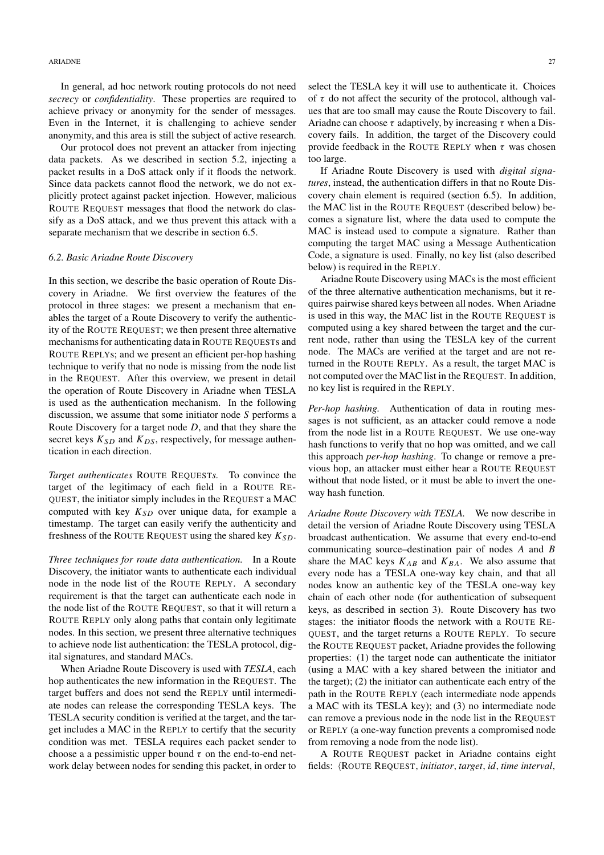#### ARIADNE 27

In general, ad hoc network routing protocols do not need *secrecy* or *confidentiality*. These properties are required to achieve privacy or anonymity for the sender of messages. Even in the Internet, it is challenging to achieve sender anonymity, and this area is still the subject of active research.

Our protocol does not prevent an attacker from injecting data packets. As we described in section 5.2, injecting a packet results in a DoS attack only if it floods the network. Since data packets cannot flood the network, we do not explicitly protect against packet injection. However, malicious ROUTE REQUEST messages that flood the network do classify as a DoS attack, and we thus prevent this attack with a separate mechanism that we describe in section 6.5.

#### *6.2. Basic Ariadne Route Discovery*

In this section, we describe the basic operation of Route Discovery in Ariadne. We first overview the features of the protocol in three stages: we present a mechanism that enables the target of a Route Discovery to verify the authenticity of the ROUTE REQUEST; we then present three alternative mechanisms for authenticating data in ROUTE REQUESTs and ROUTE REPLYs; and we present an efficient per-hop hashing technique to verify that no node is missing from the node list in the REQUEST. After this overview, we present in detail the operation of Route Discovery in Ariadne when TESLA is used as the authentication mechanism. In the following discussion, we assume that some initiator node *S* performs a Route Discovery for a target node *D*, and that they share the secret keys  $K_{SD}$  and  $K_{DS}$ , respectively, for message authentication in each direction.

*Target authenticates* ROUTE REQUEST*s.* To convince the target of the legitimacy of each field in a ROUTE RE-QUEST, the initiator simply includes in the REQUEST a MAC computed with key  $K_{SD}$  over unique data, for example a timestamp. The target can easily verify the authenticity and freshness of the ROUTE REQUEST using the shared key  $K_{SD}$ .

*Three techniques for route data authentication.* In a Route Discovery, the initiator wants to authenticate each individual node in the node list of the ROUTE REPLY. A secondary requirement is that the target can authenticate each node in the node list of the ROUTE REQUEST, so that it will return a ROUTE REPLY only along paths that contain only legitimate nodes. In this section, we present three alternative techniques to achieve node list authentication: the TESLA protocol, digital signatures, and standard MACs.

When Ariadne Route Discovery is used with *TESLA*, each hop authenticates the new information in the REQUEST. The target buffers and does not send the REPLY until intermediate nodes can release the corresponding TESLA keys. The TESLA security condition is verified at the target, and the target includes a MAC in the REPLY to certify that the security condition was met. TESLA requires each packet sender to choose a a pessimistic upper bound  $\tau$  on the end-to-end network delay between nodes for sending this packet, in order to select the TESLA key it will use to authenticate it. Choices of *τ* do not affect the security of the protocol, although values that are too small may cause the Route Discovery to fail. Ariadne can choose *τ* adaptively, by increasing *τ* when a Discovery fails. In addition, the target of the Discovery could provide feedback in the ROUTE REPLY when *τ* was chosen too large.

If Ariadne Route Discovery is used with *digital signatures*, instead, the authentication differs in that no Route Discovery chain element is required (section 6.5). In addition, the MAC list in the ROUTE REQUEST (described below) becomes a signature list, where the data used to compute the MAC is instead used to compute a signature. Rather than computing the target MAC using a Message Authentication Code, a signature is used. Finally, no key list (also described below) is required in the REPLY.

Ariadne Route Discovery using MACs is the most efficient of the three alternative authentication mechanisms, but it requires pairwise shared keys between all nodes. When Ariadne is used in this way, the MAC list in the ROUTE REQUEST is computed using a key shared between the target and the current node, rather than using the TESLA key of the current node. The MACs are verified at the target and are not returned in the ROUTE REPLY. As a result, the target MAC is not computed over the MAC list in the REQUEST. In addition, no key list is required in the REPLY.

*Per-hop hashing.* Authentication of data in routing messages is not sufficient, as an attacker could remove a node from the node list in a ROUTE REQUEST. We use one-way hash functions to verify that no hop was omitted, and we call this approach *per-hop hashing*. To change or remove a previous hop, an attacker must either hear a ROUTE REQUEST without that node listed, or it must be able to invert the oneway hash function.

*Ariadne Route Discovery with TESLA.* We now describe in detail the version of Ariadne Route Discovery using TESLA broadcast authentication. We assume that every end-to-end communicating source–destination pair of nodes *A* and *B* share the MAC keys  $K_{AB}$  and  $K_{BA}$ . We also assume that every node has a TESLA one-way key chain, and that all nodes know an authentic key of the TESLA one-way key chain of each other node (for authentication of subsequent keys, as described in section 3). Route Discovery has two stages: the initiator floods the network with a ROUTE RE-QUEST, and the target returns a ROUTE REPLY. To secure the ROUTE REQUEST packet, Ariadne provides the following properties: (1) the target node can authenticate the initiator (using a MAC with a key shared between the initiator and the target); (2) the initiator can authenticate each entry of the path in the ROUTE REPLY (each intermediate node appends a MAC with its TESLA key); and (3) no intermediate node can remove a previous node in the node list in the REQUEST or REPLY (a one-way function prevents a compromised node from removing a node from the node list).

A ROUTE REQUEST packet in Ariadne contains eight fields: ROUTE REQUEST*,initiator,target,id,time interval,*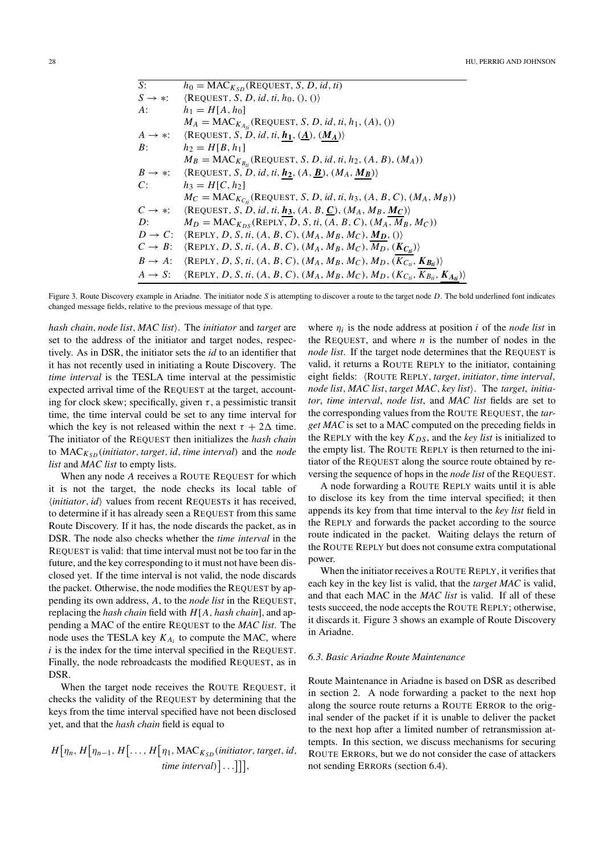*S*:  $h_0 = \text{MAC}_{K_{SD}}(\text{REQUEST}, S, D, id, ti)$ <br>  $S \rightarrow *$ :  $\langle \text{REQUEST}, S, D, id, ti, h_0, (), () \rangle$ *S*  $\rightarrow$  \*: (REQUEST, *S*, *D*, *id*, *ti*, *h*<sub>0</sub>, (), ())<br>*A*:  $h_1 = H[A, h_0]$  $h_1 = H[A, h_0]$  $M_A = \text{MAC}_{K_{A_t}}(\text{REQUEST}, S, D, id, ti, h_1, (A),$  ()) *A* → ∗: (REQUEST, *S*, *D*, *id*, *ti*,  $h_1$ ,  $(\underline{A})$ ,  $(\underline{M}_A)$ )<br>*B*:  $h_2 = H[B, h_1]$  $h_2 = H[B, h_1]$  $M_B = \text{MAC}_{K_{B_i}}(\text{REQUEST}, S, D, id, ti, h_2, (A, B), (M_A))$ *B*  $\rightarrow$  \*: (REQUEST, *S*, *D*, *id*, *ti*, *h***<sub>2</sub>**</sub>, (*A*, *B*), (*M<sub>A</sub>*, *M<sub>B</sub>*))<br>*C*:  $h_3 = H[C, h_3]$  $h_3 = H[C, h_2]$  $M_C = \text{MAC}_{K_{C_{ti}}}(\text{REQUEST}, S, D, id, ti, h_3, (A, B, C), (M_A, M_B))$ *C* → ∗:  $\langle \text{REQUEST}, S, D, id, ti, h_3, (A, B, C), (M_A, M_B, M_C) \rangle$ <br>*D:*  $M_D = \text{MAC}_{K_{DS}}(\text{REPLY}, D, S, ti, (A, B, C), (M_A, M_B, M_C) \rangle$ *D*:  $M_D = \text{MAC}_{K_{DS}}(\text{REPLY}, D, S, t_i, (A, B, C), (M_A, M_B, M_C))$ <br>  $D \rightarrow C$ :  $\langle \text{REPLY}, D, S, t_i, (A, B, C), (M_A, M_B, M_C), M_D, () \rangle$  $D \to C$ :  $\langle \text{REPLY}, D, S, t_i, (A, B, C), (M_A, M_B, M_C), \underline{M_D}, 0 \rangle$ <br> $C \to B$ :  $\langle \text{REPLY}, D, S, t_i, (A, B, C), (M_A, M_B, M_C), \overline{M_D}, (K_A, M_B, M_C) \rangle$  $C \rightarrow B$ :  $\langle \text{REPLY}, D, S, t_i, (A, B, C), (M_A, M_B, M_C), M_D, (K_{C_i}) \rangle$ <br>  $B \rightarrow A$ :  $\langle \text{REPLY}, D, S, t_i, (A, B, C), (M_A, M_B, M_C), M_D, (K_{C_i}, A) \rangle$  $\langle$ **REPLY**, D, S, ti,  $(A, B, C), (M_A, M_B, M_C), M_D, (\overline{K_{C_{ti}}}, K_{B_{ti}}) \rangle$  $A \rightarrow S$ :  $\langle \text{REPLY}, D, S, t_i, (A, B, C), (M_A, M_B, M_C), M_D, (K_{C_{ti}}, \overline{K_{B_{ti}}}, K_{A_{ti}}) \rangle$ 

Figure 3. Route Discovery example in Ariadne. The initiator node *S* is attempting to discover a route to the target node *D*. The bold underlined font indicates changed message fields, relative to the previous message of that type.

*hash chain, node list, MAC list*. The *initiator* and *target* are set to the address of the initiator and target nodes, respectively. As in DSR, the initiator sets the *id* to an identifier that it has not recently used in initiating a Route Discovery. The *time interval* is the TESLA time interval at the pessimistic expected arrival time of the REQUEST at the target, accounting for clock skew; specifically, given  $\tau$ , a pessimistic transit time, the time interval could be set to any time interval for which the key is not released within the next  $\tau + 2\Delta$  time. The initiator of the REQUEST then initializes the *hash chain* to MAC*KSD (initiator,target,id,time interval)* and the *node list* and *MAC list* to empty lists.

When any node *A* receives a ROUTE REQUEST for which it is not the target, the node checks its local table of *initiator,id* values from recent REQUESTs it has received, to determine if it has already seen a REQUEST from this same Route Discovery. If it has, the node discards the packet, as in DSR. The node also checks whether the *time interval* in the REQUEST is valid: that time interval must not be too far in the future, and the key corresponding to it must not have been disclosed yet. If the time interval is not valid, the node discards the packet. Otherwise, the node modifies the REQUEST by appending its own address, *A*, to the *node list* in the REQUEST, replacing the *hash chain* field with *H*[*A, hash chain*], and appending a MAC of the entire REQUEST to the *MAC list*. The node uses the TESLA key  $K_{A_i}$  to compute the MAC, where *i* is the index for the time interval specified in the REQUEST. Finally, the node rebroadcasts the modified REQUEST, as in **DSR**.

When the target node receives the ROUTE REQUEST, it checks the validity of the REQUEST by determining that the keys from the time interval specified have not been disclosed yet, and that the *hash chain* field is equal to

$$
H[\eta_n, H[\eta_{n-1}, H[\dots, H[\eta_1, \text{MAC}_{K_{SD}}(initiator, target, id, time interval)]\dots]]],
$$

where  $\eta_i$  is the node address at position *i* of the *node list* in the REQUEST, and where  $n$  is the number of nodes in the *node list*. If the target node determines that the REQUEST is valid, it returns a ROUTE REPLY to the initiator, containing eight fields: ROUTE REPLY*,target,initiator,time interval, node list, MAC list,target MAC, key list*. The *target*, *initiator*, *time interval*, *node list*, and *MAC list* fields are set to the corresponding values from the ROUTE REQUEST, the *target MAC* is set to a MAC computed on the preceding fields in the REPLY with the key  $K_{DS}$ , and the *key list* is initialized to the empty list. The ROUTE REPLY is then returned to the initiator of the REQUEST along the source route obtained by reversing the sequence of hops in the *node list* of the REQUEST.

A node forwarding a ROUTE REPLY waits until it is able to disclose its key from the time interval specified; it then appends its key from that time interval to the *key list* field in the REPLY and forwards the packet according to the source route indicated in the packet. Waiting delays the return of the ROUTE REPLY but does not consume extra computational power.

When the initiator receives a ROUTE REPLY, it verifies that each key in the key list is valid, that the *target MAC* is valid, and that each MAC in the *MAC list* is valid. If all of these tests succeed, the node accepts the ROUTE REPLY; otherwise, it discards it. Figure 3 shows an example of Route Discovery in Ariadne.

## *6.3. Basic Ariadne Route Maintenance*

Route Maintenance in Ariadne is based on DSR as described in section 2. A node forwarding a packet to the next hop along the source route returns a ROUTE ERROR to the original sender of the packet if it is unable to deliver the packet to the next hop after a limited number of retransmission attempts. In this section, we discuss mechanisms for securing ROUTE ERRORs, but we do not consider the case of attackers not sending ERRORs (section 6.4).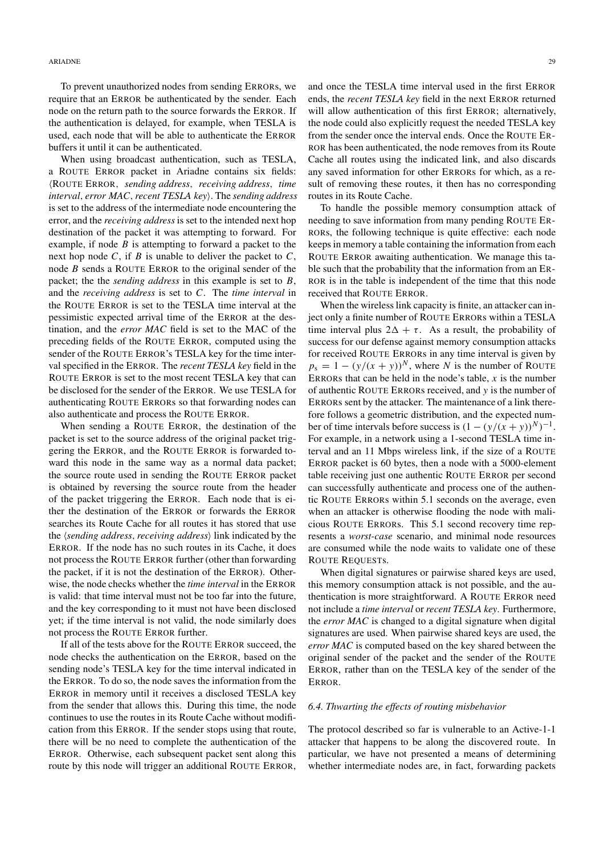#### ARIADNE 29

To prevent unauthorized nodes from sending ERRORs, we require that an ERROR be authenticated by the sender. Each node on the return path to the source forwards the ERROR. If the authentication is delayed, for example, when TESLA is used, each node that will be able to authenticate the ERROR buffers it until it can be authenticated.

When using broadcast authentication, such as TESLA, a ROUTE ERROR packet in Ariadne contains six fields: ROUTE ERROR*, sending address, receiving address, time interval, error MAC,recent TESLA key*. The *sending address* is set to the address of the intermediate node encountering the error, and the *receiving address* is set to the intended next hop destination of the packet it was attempting to forward. For example, if node *B* is attempting to forward a packet to the next hop node *C*, if *B* is unable to deliver the packet to *C*, node *B* sends a ROUTE ERROR to the original sender of the packet; the the *sending address* in this example is set to *B*, and the *receiving address* is set to *C*. The *time interval* in the ROUTE ERROR is set to the TESLA time interval at the pessimistic expected arrival time of the ERROR at the destination, and the *error MAC* field is set to the MAC of the preceding fields of the ROUTE ERROR, computed using the sender of the ROUTE ERROR's TESLA key for the time interval specified in the ERROR. The *recent TESLA key* field in the ROUTE ERROR is set to the most recent TESLA key that can be disclosed for the sender of the ERROR. We use TESLA for authenticating ROUTE ERRORs so that forwarding nodes can also authenticate and process the ROUTE ERROR.

When sending a ROUTE ERROR, the destination of the packet is set to the source address of the original packet triggering the ERROR, and the ROUTE ERROR is forwarded toward this node in the same way as a normal data packet; the source route used in sending the ROUTE ERROR packet is obtained by reversing the source route from the header of the packet triggering the ERROR. Each node that is either the destination of the ERROR or forwards the ERROR searches its Route Cache for all routes it has stored that use the *sending address,receiving address* link indicated by the ERROR. If the node has no such routes in its Cache, it does not process the ROUTE ERROR further (other than forwarding the packet, if it is not the destination of the ERROR). Otherwise, the node checks whether the *time interval* in the ERROR is valid: that time interval must not be too far into the future, and the key corresponding to it must not have been disclosed yet; if the time interval is not valid, the node similarly does not process the ROUTE ERROR further.

If all of the tests above for the ROUTE ERROR succeed, the node checks the authentication on the ERROR, based on the sending node's TESLA key for the time interval indicated in the ERROR. To do so, the node saves the information from the ERROR in memory until it receives a disclosed TESLA key from the sender that allows this. During this time, the node continues to use the routes in its Route Cache without modification from this ERROR. If the sender stops using that route, there will be no need to complete the authentication of the ERROR. Otherwise, each subsequent packet sent along this route by this node will trigger an additional ROUTE ERROR,

and once the TESLA time interval used in the first ERROR ends, the *recent TESLA key* field in the next ERROR returned will allow authentication of this first ERROR; alternatively, the node could also explicitly request the needed TESLA key from the sender once the interval ends. Once the ROUTE ER-ROR has been authenticated, the node removes from its Route Cache all routes using the indicated link, and also discards any saved information for other ERRORs for which, as a result of removing these routes, it then has no corresponding routes in its Route Cache.

To handle the possible memory consumption attack of needing to save information from many pending ROUTE ER-RORs, the following technique is quite effective: each node keeps in memory a table containing the information from each ROUTE ERROR awaiting authentication. We manage this table such that the probability that the information from an ER-ROR is in the table is independent of the time that this node received that ROUTE ERROR.

When the wireless link capacity is finite, an attacker can inject only a finite number of ROUTE ERRORs within a TESLA time interval plus  $2\Delta + \tau$ . As a result, the probability of success for our defense against memory consumption attacks for received ROUTE ERRORs in any time interval is given by  $p_s = 1 - (y/(x + y))^N$ , where *N* is the number of ROUTE ERRORs that can be held in the node's table, *x* is the number of authentic ROUTE ERRORs received, and *y* is the number of ERRORs sent by the attacker. The maintenance of a link therefore follows a geometric distribution, and the expected number of time intervals before success is  $(1 - (y/(x + y))^{N})^{-1}$ . For example, in a network using a 1-second TESLA time interval and an 11 Mbps wireless link, if the size of a ROUTE ERROR packet is 60 bytes, then a node with a 5000-element table receiving just one authentic ROUTE ERROR per second can successfully authenticate and process one of the authentic ROUTE ERRORs within 5.1 seconds on the average, even when an attacker is otherwise flooding the node with malicious ROUTE ERRORs. This 5.1 second recovery time represents a *worst-case* scenario, and minimal node resources are consumed while the node waits to validate one of these ROUTE REQUESTs.

When digital signatures or pairwise shared keys are used, this memory consumption attack is not possible, and the authentication is more straightforward. A ROUTE ERROR need not include a *time interval* or *recent TESLA key*. Furthermore, the *error MAC* is changed to a digital signature when digital signatures are used. When pairwise shared keys are used, the *error MAC* is computed based on the key shared between the original sender of the packet and the sender of the ROUTE ERROR, rather than on the TESLA key of the sender of the ERROR.

## *6.4. Thwarting the effects of routing misbehavior*

The protocol described so far is vulnerable to an Active-1-1 attacker that happens to be along the discovered route. In particular, we have not presented a means of determining whether intermediate nodes are, in fact, forwarding packets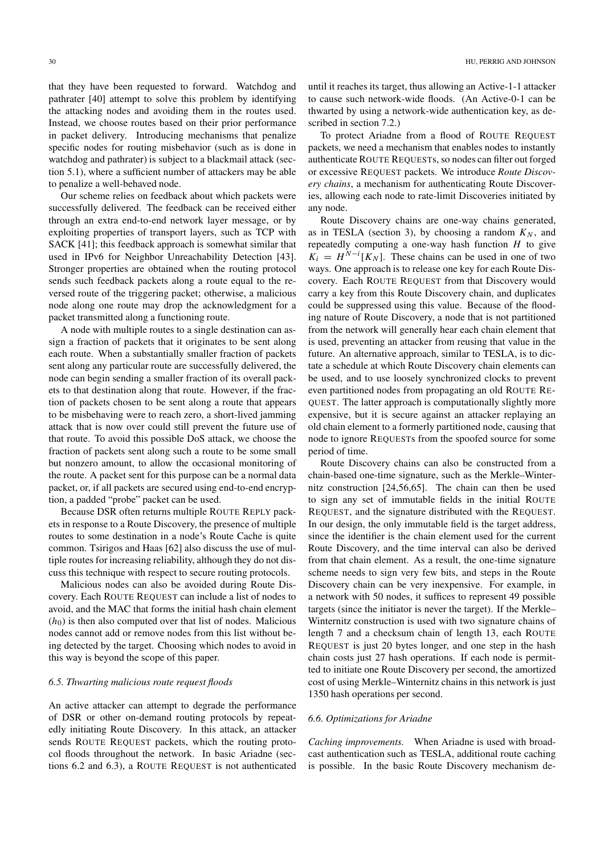that they have been requested to forward. Watchdog and pathrater [40] attempt to solve this problem by identifying the attacking nodes and avoiding them in the routes used. Instead, we choose routes based on their prior performance in packet delivery. Introducing mechanisms that penalize specific nodes for routing misbehavior (such as is done in watchdog and pathrater) is subject to a blackmail attack (section 5.1), where a sufficient number of attackers may be able to penalize a well-behaved node.

Our scheme relies on feedback about which packets were successfully delivered. The feedback can be received either through an extra end-to-end network layer message, or by exploiting properties of transport layers, such as TCP with SACK [41]; this feedback approach is somewhat similar that used in IPv6 for Neighbor Unreachability Detection [43]. Stronger properties are obtained when the routing protocol sends such feedback packets along a route equal to the reversed route of the triggering packet; otherwise, a malicious node along one route may drop the acknowledgment for a packet transmitted along a functioning route.

A node with multiple routes to a single destination can assign a fraction of packets that it originates to be sent along each route. When a substantially smaller fraction of packets sent along any particular route are successfully delivered, the node can begin sending a smaller fraction of its overall packets to that destination along that route. However, if the fraction of packets chosen to be sent along a route that appears to be misbehaving were to reach zero, a short-lived jamming attack that is now over could still prevent the future use of that route. To avoid this possible DoS attack, we choose the fraction of packets sent along such a route to be some small but nonzero amount, to allow the occasional monitoring of the route. A packet sent for this purpose can be a normal data packet, or, if all packets are secured using end-to-end encryption, a padded "probe" packet can be used.

Because DSR often returns multiple ROUTE REPLY packets in response to a Route Discovery, the presence of multiple routes to some destination in a node's Route Cache is quite common. Tsirigos and Haas [62] also discuss the use of multiple routes for increasing reliability, although they do not discuss this technique with respect to secure routing protocols.

Malicious nodes can also be avoided during Route Discovery. Each ROUTE REQUEST can include a list of nodes to avoid, and the MAC that forms the initial hash chain element  $(h<sub>0</sub>)$  is then also computed over that list of nodes. Malicious nodes cannot add or remove nodes from this list without being detected by the target. Choosing which nodes to avoid in this way is beyond the scope of this paper.

# *6.5. Thwarting malicious route request floods*

An active attacker can attempt to degrade the performance of DSR or other on-demand routing protocols by repeatedly initiating Route Discovery. In this attack, an attacker sends ROUTE REQUEST packets, which the routing protocol floods throughout the network. In basic Ariadne (sections 6.2 and 6.3), a ROUTE REQUEST is not authenticated until it reaches its target, thus allowing an Active-1-1 attacker to cause such network-wide floods. (An Active-0-1 can be thwarted by using a network-wide authentication key, as described in section 7.2.)

To protect Ariadne from a flood of ROUTE REQUEST packets, we need a mechanism that enables nodes to instantly authenticate ROUTE REQUESTs, so nodes can filter out forged or excessive REQUEST packets. We introduce *Route Discovery chains*, a mechanism for authenticating Route Discoveries, allowing each node to rate-limit Discoveries initiated by any node.

Route Discovery chains are one-way chains generated, as in TESLA (section 3), by choosing a random  $K_N$ , and repeatedly computing a one-way hash function *H* to give  $K_i = H^{N-i}[K_N]$ . These chains can be used in one of two ways. One approach is to release one key for each Route Discovery. Each ROUTE REQUEST from that Discovery would carry a key from this Route Discovery chain, and duplicates could be suppressed using this value. Because of the flooding nature of Route Discovery, a node that is not partitioned from the network will generally hear each chain element that is used, preventing an attacker from reusing that value in the future. An alternative approach, similar to TESLA, is to dictate a schedule at which Route Discovery chain elements can be used, and to use loosely synchronized clocks to prevent even partitioned nodes from propagating an old ROUTE RE-QUEST. The latter approach is computationally slightly more expensive, but it is secure against an attacker replaying an old chain element to a formerly partitioned node, causing that node to ignore REQUESTs from the spoofed source for some period of time.

Route Discovery chains can also be constructed from a chain-based one-time signature, such as the Merkle–Winternitz construction [24,56,65]. The chain can then be used to sign any set of immutable fields in the initial ROUTE REQUEST, and the signature distributed with the REQUEST. In our design, the only immutable field is the target address, since the identifier is the chain element used for the current Route Discovery, and the time interval can also be derived from that chain element. As a result, the one-time signature scheme needs to sign very few bits, and steps in the Route Discovery chain can be very inexpensive. For example, in a network with 50 nodes, it suffices to represent 49 possible targets (since the initiator is never the target). If the Merkle– Winternitz construction is used with two signature chains of length 7 and a checksum chain of length 13, each ROUTE REQUEST is just 20 bytes longer, and one step in the hash chain costs just 27 hash operations. If each node is permitted to initiate one Route Discovery per second, the amortized cost of using Merkle–Winternitz chains in this network is just 1350 hash operations per second.

## *6.6. Optimizations for Ariadne*

*Caching improvements.* When Ariadne is used with broadcast authentication such as TESLA, additional route caching is possible. In the basic Route Discovery mechanism de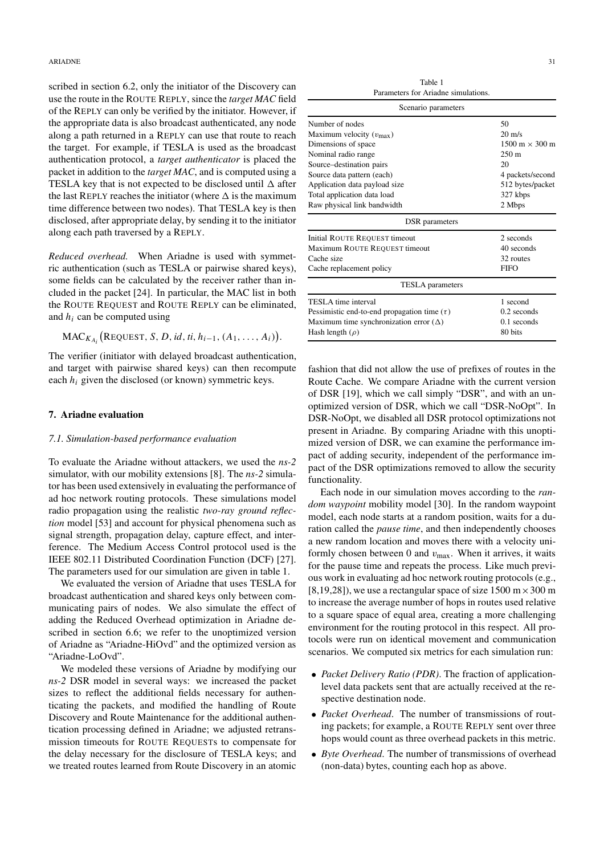scribed in section 6.2, only the initiator of the Discovery can use the route in the ROUTE REPLY, since the *target MAC* field of the REPLY can only be verified by the initiator. However, if the appropriate data is also broadcast authenticated, any node along a path returned in a REPLY can use that route to reach the target. For example, if TESLA is used as the broadcast authentication protocol, a *target authenticator* is placed the packet in addition to the *target MAC*, and is computed using a TESLA key that is not expected to be disclosed until  $\Delta$  after the last REPLY reaches the initiator (where  $\Delta$  is the maximum time difference between two nodes). That TESLA key is then disclosed, after appropriate delay, by sending it to the initiator along each path traversed by a REPLY.

*Reduced overhead.* When Ariadne is used with symmetric authentication (such as TESLA or pairwise shared keys), some fields can be calculated by the receiver rather than included in the packet [24]. In particular, the MAC list in both the ROUTE REQUEST and ROUTE REPLY can be eliminated, and  $h_i$  can be computed using

$$
\text{MAC}_{K_{A_i}}\big(\text{REQUEST}, S, D, id, ti, h_{i-1}, (A_1, \ldots, A_i)\big).
$$

The verifier (initiator with delayed broadcast authentication, and target with pairwise shared keys) can then recompute each *hi* given the disclosed (or known) symmetric keys.

## **7. Ariadne evaluation**

## *7.1. Simulation-based performance evaluation*

To evaluate the Ariadne without attackers, we used the *ns-2* simulator, with our mobility extensions [8]. The *ns-2* simulator has been used extensively in evaluating the performance of ad hoc network routing protocols. These simulations model radio propagation using the realistic *two-ray ground reflection* model [53] and account for physical phenomena such as signal strength, propagation delay, capture effect, and interference. The Medium Access Control protocol used is the IEEE 802.11 Distributed Coordination Function (DCF) [27]. The parameters used for our simulation are given in table 1.

We evaluated the version of Ariadne that uses TESLA for broadcast authentication and shared keys only between communicating pairs of nodes. We also simulate the effect of adding the Reduced Overhead optimization in Ariadne described in section 6.6; we refer to the unoptimized version of Ariadne as "Ariadne-HiOvd" and the optimized version as "Ariadne-LoOvd".

We modeled these versions of Ariadne by modifying our *ns-2* DSR model in several ways: we increased the packet sizes to reflect the additional fields necessary for authenticating the packets, and modified the handling of Route Discovery and Route Maintenance for the additional authentication processing defined in Ariadne; we adjusted retransmission timeouts for ROUTE REQUESTs to compensate for the delay necessary for the disclosure of TESLA keys; and we treated routes learned from Route Discovery in an atomic

Table 1 Parameters for Ariadne simulations.

| Scenario parameters                              |                                       |
|--------------------------------------------------|---------------------------------------|
| Number of nodes                                  | 50                                    |
| Maximum velocity $(v_{\text{max}})$              | $20 \text{ m/s}$                      |
| Dimensions of space                              | $1500 \text{ m} \times 300 \text{ m}$ |
| Nominal radio range                              | $250 \text{ m}$                       |
| Source-destination pairs                         | 20                                    |
| Source data pattern (each)                       | 4 packets/second                      |
| Application data payload size                    | 512 bytes/packet                      |
| Total application data load                      | 327 kbps                              |
| Raw physical link bandwidth                      | 2 Mbps                                |
| <b>DSR</b> parameters                            |                                       |
| Initial ROUTE REQUEST timeout                    | 2 seconds                             |
| Maximum ROUTE REQUEST timeout                    | 40 seconds                            |
| Cache size                                       | 32 routes                             |
| Cache replacement policy                         | <b>FIFO</b>                           |
| <b>TESLA</b> parameters                          |                                       |
| TESLA time interval                              | 1 second                              |
| Pessimistic end-to-end propagation time $(\tau)$ | $0.2$ seconds                         |
| Maximum time synchronization error $(\Delta)$    | $0.1$ seconds                         |
| Hash length $(\rho)$                             | 80 bits                               |
|                                                  |                                       |

fashion that did not allow the use of prefixes of routes in the Route Cache. We compare Ariadne with the current version of DSR [19], which we call simply "DSR", and with an unoptimized version of DSR, which we call "DSR-NoOpt". In DSR-NoOpt, we disabled all DSR protocol optimizations not present in Ariadne. By comparing Ariadne with this unoptimized version of DSR, we can examine the performance impact of adding security, independent of the performance impact of the DSR optimizations removed to allow the security functionality.

Each node in our simulation moves according to the *random waypoint* mobility model [30]. In the random waypoint model, each node starts at a random position, waits for a duration called the *pause time*, and then independently chooses a new random location and moves there with a velocity uniformly chosen between 0 and *v*max. When it arrives, it waits for the pause time and repeats the process. Like much previous work in evaluating ad hoc network routing protocols (e.g., [8,19,28]), we use a rectangular space of size  $1500 \text{ m} \times 300 \text{ m}$ to increase the average number of hops in routes used relative to a square space of equal area, creating a more challenging environment for the routing protocol in this respect. All protocols were run on identical movement and communication scenarios. We computed six metrics for each simulation run:

- *Packet Delivery Ratio (PDR)*. The fraction of applicationlevel data packets sent that are actually received at the respective destination node.
- *Packet Overhead*. The number of transmissions of routing packets; for example, a ROUTE REPLY sent over three hops would count as three overhead packets in this metric.
- *Byte Overhead*. The number of transmissions of overhead (non-data) bytes, counting each hop as above.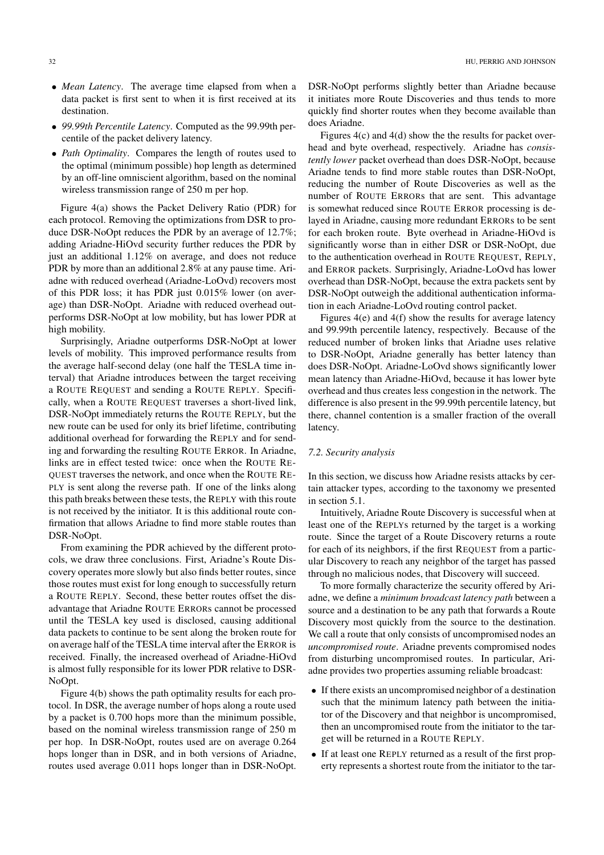- *Mean Latency*. The average time elapsed from when a data packet is first sent to when it is first received at its destination.
- *99.99th Percentile Latency*. Computed as the 99.99th percentile of the packet delivery latency.
- *Path Optimality*. Compares the length of routes used to the optimal (minimum possible) hop length as determined by an off-line omniscient algorithm, based on the nominal wireless transmission range of 250 m per hop.

Figure 4(a) shows the Packet Delivery Ratio (PDR) for each protocol. Removing the optimizations from DSR to produce DSR-NoOpt reduces the PDR by an average of 12.7%; adding Ariadne-HiOvd security further reduces the PDR by just an additional 1.12% on average, and does not reduce PDR by more than an additional 2.8% at any pause time. Ariadne with reduced overhead (Ariadne-LoOvd) recovers most of this PDR loss; it has PDR just 0.015% lower (on average) than DSR-NoOpt. Ariadne with reduced overhead outperforms DSR-NoOpt at low mobility, but has lower PDR at high mobility.

Surprisingly, Ariadne outperforms DSR-NoOpt at lower levels of mobility. This improved performance results from the average half-second delay (one half the TESLA time interval) that Ariadne introduces between the target receiving a ROUTE REQUEST and sending a ROUTE REPLY. Specifically, when a ROUTE REQUEST traverses a short-lived link, DSR-NoOpt immediately returns the ROUTE REPLY, but the new route can be used for only its brief lifetime, contributing additional overhead for forwarding the REPLY and for sending and forwarding the resulting ROUTE ERROR. In Ariadne, links are in effect tested twice: once when the ROUTE RE-QUEST traverses the network, and once when the ROUTE RE-PLY is sent along the reverse path. If one of the links along this path breaks between these tests, the REPLY with this route is not received by the initiator. It is this additional route confirmation that allows Ariadne to find more stable routes than DSR-NoOpt.

From examining the PDR achieved by the different protocols, we draw three conclusions. First, Ariadne's Route Discovery operates more slowly but also finds better routes, since those routes must exist for long enough to successfully return a ROUTE REPLY. Second, these better routes offset the disadvantage that Ariadne ROUTE ERRORs cannot be processed until the TESLA key used is disclosed, causing additional data packets to continue to be sent along the broken route for on average half of the TESLA time interval after the ERROR is received. Finally, the increased overhead of Ariadne-HiOvd is almost fully responsible for its lower PDR relative to DSR-NoOpt.

Figure 4(b) shows the path optimality results for each protocol. In DSR, the average number of hops along a route used by a packet is 0.700 hops more than the minimum possible, based on the nominal wireless transmission range of 250 m per hop. In DSR-NoOpt, routes used are on average 0.264 hops longer than in DSR, and in both versions of Ariadne, routes used average 0.011 hops longer than in DSR-NoOpt. DSR-NoOpt performs slightly better than Ariadne because it initiates more Route Discoveries and thus tends to more quickly find shorter routes when they become available than does Ariadne.

Figures 4(c) and 4(d) show the the results for packet overhead and byte overhead, respectively. Ariadne has *consistently lower* packet overhead than does DSR-NoOpt, because Ariadne tends to find more stable routes than DSR-NoOpt, reducing the number of Route Discoveries as well as the number of ROUTE ERRORs that are sent. This advantage is somewhat reduced since ROUTE ERROR processing is delayed in Ariadne, causing more redundant ERRORs to be sent for each broken route. Byte overhead in Ariadne-HiOvd is significantly worse than in either DSR or DSR-NoOpt, due to the authentication overhead in ROUTE REQUEST, REPLY, and ERROR packets. Surprisingly, Ariadne-LoOvd has lower overhead than DSR-NoOpt, because the extra packets sent by DSR-NoOpt outweigh the additional authentication information in each Ariadne-LoOvd routing control packet.

Figures 4(e) and 4(f) show the results for average latency and 99.99th percentile latency, respectively. Because of the reduced number of broken links that Ariadne uses relative to DSR-NoOpt, Ariadne generally has better latency than does DSR-NoOpt. Ariadne-LoOvd shows significantly lower mean latency than Ariadne-HiOvd, because it has lower byte overhead and thus creates less congestion in the network. The difference is also present in the 99.99th percentile latency, but there, channel contention is a smaller fraction of the overall latency.

# *7.2. Security analysis*

In this section, we discuss how Ariadne resists attacks by certain attacker types, according to the taxonomy we presented in section 5.1.

Intuitively, Ariadne Route Discovery is successful when at least one of the REPLYs returned by the target is a working route. Since the target of a Route Discovery returns a route for each of its neighbors, if the first REQUEST from a particular Discovery to reach any neighbor of the target has passed through no malicious nodes, that Discovery will succeed.

To more formally characterize the security offered by Ariadne, we define a *minimum broadcast latency path* between a source and a destination to be any path that forwards a Route Discovery most quickly from the source to the destination. We call a route that only consists of uncompromised nodes an *uncompromised route*. Ariadne prevents compromised nodes from disturbing uncompromised routes. In particular, Ariadne provides two properties assuming reliable broadcast:

- If there exists an uncompromised neighbor of a destination such that the minimum latency path between the initiator of the Discovery and that neighbor is uncompromised, then an uncompromised route from the initiator to the target will be returned in a ROUTE REPLY.
- If at least one REPLY returned as a result of the first property represents a shortest route from the initiator to the tar-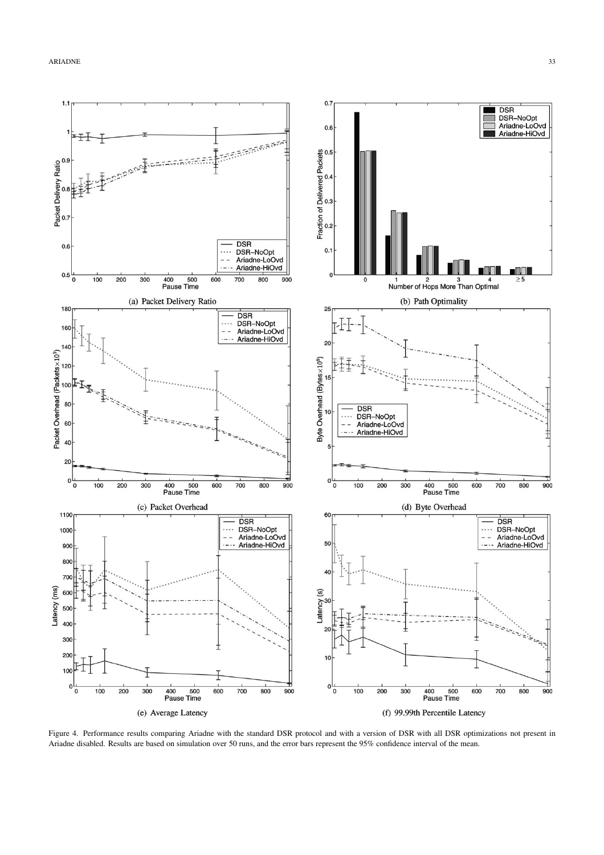

Figure 4. Performance results comparing Ariadne with the standard DSR protocol and with a version of DSR with all DSR optimizations not present in Ariadne disabled. Results are based on simulation over 50 runs, and the error bars represent the 95% confidence interval of the mean.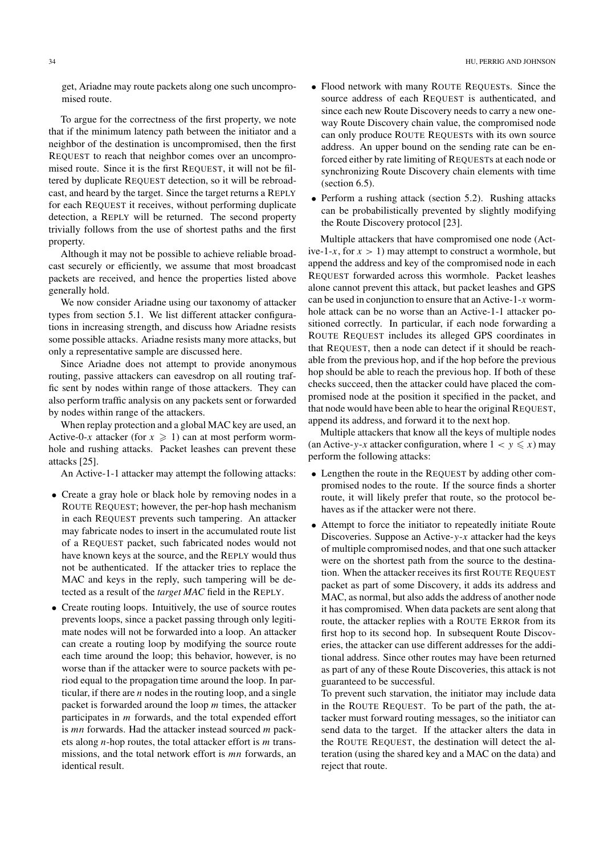get, Ariadne may route packets along one such uncompromised route.

To argue for the correctness of the first property, we note that if the minimum latency path between the initiator and a neighbor of the destination is uncompromised, then the first REQUEST to reach that neighbor comes over an uncompromised route. Since it is the first REQUEST, it will not be filtered by duplicate REQUEST detection, so it will be rebroadcast, and heard by the target. Since the target returns a REPLY for each REQUEST it receives, without performing duplicate detection, a REPLY will be returned. The second property trivially follows from the use of shortest paths and the first property.

Although it may not be possible to achieve reliable broadcast securely or efficiently, we assume that most broadcast packets are received, and hence the properties listed above generally hold.

We now consider Ariadne using our taxonomy of attacker types from section 5.1. We list different attacker configurations in increasing strength, and discuss how Ariadne resists some possible attacks. Ariadne resists many more attacks, but only a representative sample are discussed here.

Since Ariadne does not attempt to provide anonymous routing, passive attackers can eavesdrop on all routing traffic sent by nodes within range of those attackers. They can also perform traffic analysis on any packets sent or forwarded by nodes within range of the attackers.

When replay protection and a global MAC key are used, an Active-0-*x* attacker (for  $x \ge 1$ ) can at most perform wormhole and rushing attacks. Packet leashes can prevent these attacks [25].

An Active-1-1 attacker may attempt the following attacks:

- Create a gray hole or black hole by removing nodes in a ROUTE REQUEST; however, the per-hop hash mechanism in each REQUEST prevents such tampering. An attacker may fabricate nodes to insert in the accumulated route list of a REQUEST packet, such fabricated nodes would not have known keys at the source, and the REPLY would thus not be authenticated. If the attacker tries to replace the MAC and keys in the reply, such tampering will be detected as a result of the *target MAC* field in the REPLY.
- Create routing loops. Intuitively, the use of source routes prevents loops, since a packet passing through only legitimate nodes will not be forwarded into a loop. An attacker can create a routing loop by modifying the source route each time around the loop; this behavior, however, is no worse than if the attacker were to source packets with period equal to the propagation time around the loop. In particular, if there are *n* nodes in the routing loop, and a single packet is forwarded around the loop *m* times, the attacker participates in *m* forwards, and the total expended effort is *mn* forwards. Had the attacker instead sourced *m* packets along *n*-hop routes, the total attacker effort is *m* transmissions, and the total network effort is *mn* forwards, an identical result.
- Flood network with many ROUTE REQUESTs. Since the source address of each REQUEST is authenticated, and since each new Route Discovery needs to carry a new oneway Route Discovery chain value, the compromised node can only produce ROUTE REQUESTs with its own source address. An upper bound on the sending rate can be enforced either by rate limiting of REQUESTs at each node or synchronizing Route Discovery chain elements with time (section 6.5).
- Perform a rushing attack (section 5.2). Rushing attacks can be probabilistically prevented by slightly modifying the Route Discovery protocol [23].

Multiple attackers that have compromised one node (Active-1-*x*, for  $x > 1$ ) may attempt to construct a wormhole, but append the address and key of the compromised node in each REQUEST forwarded across this wormhole. Packet leashes alone cannot prevent this attack, but packet leashes and GPS can be used in conjunction to ensure that an Active-1-*x* wormhole attack can be no worse than an Active-1-1 attacker positioned correctly. In particular, if each node forwarding a ROUTE REQUEST includes its alleged GPS coordinates in that REQUEST, then a node can detect if it should be reachable from the previous hop, and if the hop before the previous hop should be able to reach the previous hop. If both of these checks succeed, then the attacker could have placed the compromised node at the position it specified in the packet, and that node would have been able to hear the original REQUEST, append its address, and forward it to the next hop.

Multiple attackers that know all the keys of multiple nodes (an Active-*y*-*x* attacker configuration, where  $1 < y \leq x$ ) may perform the following attacks:

- Lengthen the route in the REQUEST by adding other compromised nodes to the route. If the source finds a shorter route, it will likely prefer that route, so the protocol behaves as if the attacker were not there.
- Attempt to force the initiator to repeatedly initiate Route Discoveries. Suppose an Active-*y*-*x* attacker had the keys of multiple compromised nodes, and that one such attacker were on the shortest path from the source to the destination. When the attacker receives its first ROUTE REQUEST packet as part of some Discovery, it adds its address and MAC, as normal, but also adds the address of another node it has compromised. When data packets are sent along that route, the attacker replies with a ROUTE ERROR from its first hop to its second hop. In subsequent Route Discoveries, the attacker can use different addresses for the additional address. Since other routes may have been returned as part of any of these Route Discoveries, this attack is not guaranteed to be successful.

To prevent such starvation, the initiator may include data in the ROUTE REQUEST. To be part of the path, the attacker must forward routing messages, so the initiator can send data to the target. If the attacker alters the data in the ROUTE REQUEST, the destination will detect the alteration (using the shared key and a MAC on the data) and reject that route.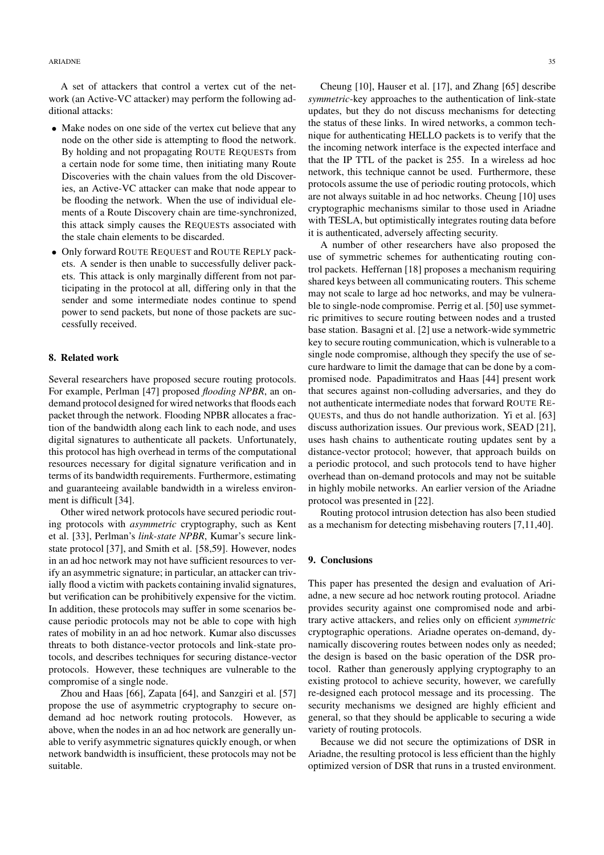#### ARIADNE 25

A set of attackers that control a vertex cut of the network (an Active-VC attacker) may perform the following additional attacks:

- Make nodes on one side of the vertex cut believe that any node on the other side is attempting to flood the network. By holding and not propagating ROUTE REQUESTs from a certain node for some time, then initiating many Route Discoveries with the chain values from the old Discoveries, an Active-VC attacker can make that node appear to be flooding the network. When the use of individual elements of a Route Discovery chain are time-synchronized, this attack simply causes the REQUESTs associated with the stale chain elements to be discarded.
- Only forward ROUTE REQUEST and ROUTE REPLY packets. A sender is then unable to successfully deliver packets. This attack is only marginally different from not participating in the protocol at all, differing only in that the sender and some intermediate nodes continue to spend power to send packets, but none of those packets are successfully received.

## **8. Related work**

Several researchers have proposed secure routing protocols. For example, Perlman [47] proposed *flooding NPBR*, an ondemand protocol designed for wired networks that floods each packet through the network. Flooding NPBR allocates a fraction of the bandwidth along each link to each node, and uses digital signatures to authenticate all packets. Unfortunately, this protocol has high overhead in terms of the computational resources necessary for digital signature verification and in terms of its bandwidth requirements. Furthermore, estimating and guaranteeing available bandwidth in a wireless environment is difficult [34].

Other wired network protocols have secured periodic routing protocols with *asymmetric* cryptography, such as Kent et al. [33], Perlman's *link-state NPBR*, Kumar's secure linkstate protocol [37], and Smith et al. [58,59]. However, nodes in an ad hoc network may not have sufficient resources to verify an asymmetric signature; in particular, an attacker can trivially flood a victim with packets containing invalid signatures, but verification can be prohibitively expensive for the victim. In addition, these protocols may suffer in some scenarios because periodic protocols may not be able to cope with high rates of mobility in an ad hoc network. Kumar also discusses threats to both distance-vector protocols and link-state protocols, and describes techniques for securing distance-vector protocols. However, these techniques are vulnerable to the compromise of a single node.

Zhou and Haas [66], Zapata [64], and Sanzgiri et al. [57] propose the use of asymmetric cryptography to secure ondemand ad hoc network routing protocols. However, as above, when the nodes in an ad hoc network are generally unable to verify asymmetric signatures quickly enough, or when network bandwidth is insufficient, these protocols may not be suitable.

Cheung [10], Hauser et al. [17], and Zhang [65] describe *symmetric*-key approaches to the authentication of link-state updates, but they do not discuss mechanisms for detecting the status of these links. In wired networks, a common technique for authenticating HELLO packets is to verify that the the incoming network interface is the expected interface and that the IP TTL of the packet is 255. In a wireless ad hoc network, this technique cannot be used. Furthermore, these protocols assume the use of periodic routing protocols, which are not always suitable in ad hoc networks. Cheung [10] uses cryptographic mechanisms similar to those used in Ariadne with TESLA, but optimistically integrates routing data before it is authenticated, adversely affecting security.

A number of other researchers have also proposed the use of symmetric schemes for authenticating routing control packets. Heffernan [18] proposes a mechanism requiring shared keys between all communicating routers. This scheme may not scale to large ad hoc networks, and may be vulnerable to single-node compromise. Perrig et al. [50] use symmetric primitives to secure routing between nodes and a trusted base station. Basagni et al. [2] use a network-wide symmetric key to secure routing communication, which is vulnerable to a single node compromise, although they specify the use of secure hardware to limit the damage that can be done by a compromised node. Papadimitratos and Haas [44] present work that secures against non-colluding adversaries, and they do not authenticate intermediate nodes that forward ROUTE RE-QUESTs, and thus do not handle authorization. Yi et al. [63] discuss authorization issues. Our previous work, SEAD [21], uses hash chains to authenticate routing updates sent by a distance-vector protocol; however, that approach builds on a periodic protocol, and such protocols tend to have higher overhead than on-demand protocols and may not be suitable in highly mobile networks. An earlier version of the Ariadne protocol was presented in [22].

Routing protocol intrusion detection has also been studied as a mechanism for detecting misbehaving routers [7,11,40].

## **9. Conclusions**

This paper has presented the design and evaluation of Ariadne, a new secure ad hoc network routing protocol. Ariadne provides security against one compromised node and arbitrary active attackers, and relies only on efficient *symmetric* cryptographic operations. Ariadne operates on-demand, dynamically discovering routes between nodes only as needed; the design is based on the basic operation of the DSR protocol. Rather than generously applying cryptography to an existing protocol to achieve security, however, we carefully re-designed each protocol message and its processing. The security mechanisms we designed are highly efficient and general, so that they should be applicable to securing a wide variety of routing protocols.

Because we did not secure the optimizations of DSR in Ariadne, the resulting protocol is less efficient than the highly optimized version of DSR that runs in a trusted environment.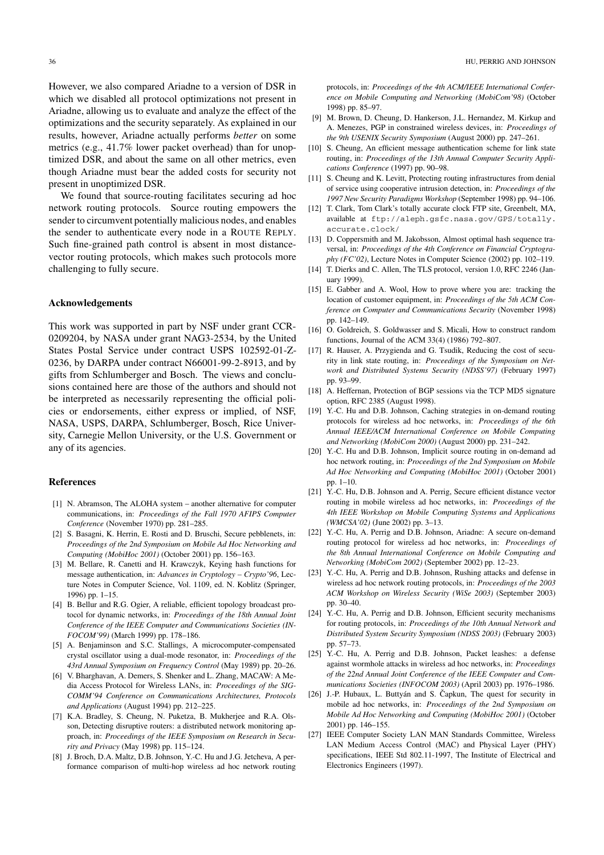However, we also compared Ariadne to a version of DSR in which we disabled all protocol optimizations not present in Ariadne, allowing us to evaluate and analyze the effect of the optimizations and the security separately. As explained in our results, however, Ariadne actually performs *better* on some metrics (e.g., 41.7% lower packet overhead) than for unoptimized DSR, and about the same on all other metrics, even though Ariadne must bear the added costs for security not present in unoptimized DSR.

We found that source-routing facilitates securing ad hoc network routing protocols. Source routing empowers the sender to circumvent potentially malicious nodes, and enables the sender to authenticate every node in a ROUTE REPLY. Such fine-grained path control is absent in most distancevector routing protocols, which makes such protocols more challenging to fully secure.

# **Acknowledgements**

This work was supported in part by NSF under grant CCR-0209204, by NASA under grant NAG3-2534, by the United States Postal Service under contract USPS 102592-01-Z-0236, by DARPA under contract N66001-99-2-8913, and by gifts from Schlumberger and Bosch. The views and conclusions contained here are those of the authors and should not be interpreted as necessarily representing the official policies or endorsements, either express or implied, of NSF, NASA, USPS, DARPA, Schlumberger, Bosch, Rice University, Carnegie Mellon University, or the U.S. Government or any of its agencies.

## **References**

- [1] N. Abramson, The ALOHA system another alternative for computer communications, in: *Proceedings of the Fall 1970 AFIPS Computer Conference* (November 1970) pp. 281–285.
- [2] S. Basagni, K. Herrin, E. Rosti and D. Bruschi, Secure pebblenets, in: *Proceedings of the 2nd Symposium on Mobile Ad Hoc Networking and Computing (MobiHoc 2001)* (October 2001) pp. 156–163.
- [3] M. Bellare, R. Canetti and H. Krawczyk, Keying hash functions for message authentication, in: *Advances in Cryptology – Crypto'96*, Lecture Notes in Computer Science, Vol. 1109, ed. N. Koblitz (Springer, 1996) pp. 1–15.
- [4] B. Bellur and R.G. Ogier, A reliable, efficient topology broadcast protocol for dynamic networks, in: *Proceedings of the 18th Annual Joint Conference of the IEEE Computer and Communications Societies (IN-FOCOM'99)* (March 1999) pp. 178–186.
- [5] A. Benjaminson and S.C. Stallings, A microcomputer-compensated crystal oscillator using a dual-mode resonator, in: *Proceedings of the 43rd Annual Symposium on Frequency Control* (May 1989) pp. 20–26.
- [6] V. Bharghavan, A. Demers, S. Shenker and L. Zhang, MACAW: A Media Access Protocol for Wireless LANs, in: *Proceedings of the SIG-COMM'94 Conference on Communications Architectures, Protocols and Applications* (August 1994) pp. 212–225.
- [7] K.A. Bradley, S. Cheung, N. Puketza, B. Mukherjee and R.A. Olsson, Detecting disruptive routers: a distributed network monitoring approach, in: *Proceedings of the IEEE Symposium on Research in Security and Privacy* (May 1998) pp. 115–124.
- [8] J. Broch, D.A. Maltz, D.B. Johnson, Y.-C. Hu and J.G. Jetcheva, A performance comparison of multi-hop wireless ad hoc network routing

protocols, in: *Proceedings of the 4th ACM/IEEE International Conference on Mobile Computing and Networking (MobiCom'98)* (October 1998) pp. 85–97.

- [9] M. Brown, D. Cheung, D. Hankerson, J.L. Hernandez, M. Kirkup and A. Menezes, PGP in constrained wireless devices, in: *Proceedings of the 9th USENIX Security Symposium* (August 2000) pp. 247–261.
- [10] S. Cheung, An efficient message authentication scheme for link state routing, in: *Proceedings of the 13th Annual Computer Security Applications Conference* (1997) pp. 90–98.
- [11] S. Cheung and K. Levitt, Protecting routing infrastructures from denial of service using cooperative intrusion detection, in: *Proceedings of the 1997 New Security Paradigms Workshop* (September 1998) pp. 94–106.
- [12] T. Clark, Tom Clark's totally accurate clock FTP site, Greenbelt, MA, available at ftp://aleph.gsfc.nasa.gov/GPS/totally. accurate.clock/
- [13] D. Coppersmith and M. Jakobsson, Almost optimal hash sequence traversal, in: *Proceedings of the 4th Conference on Financial Cryptography (FC'02)*, Lecture Notes in Computer Science (2002) pp. 102–119.
- [14] T. Dierks and C. Allen, The TLS protocol, version 1.0, RFC 2246 (January 1999).
- [15] E. Gabber and A. Wool, How to prove where you are: tracking the location of customer equipment, in: *Proceedings of the 5th ACM Conference on Computer and Communications Security* (November 1998) pp. 142–149.
- [16] O. Goldreich, S. Goldwasser and S. Micali, How to construct random functions, Journal of the ACM 33(4) (1986) 792–807.
- [17] R. Hauser, A. Przygienda and G. Tsudik, Reducing the cost of security in link state routing, in: *Proceedings of the Symposium on Network and Distributed Systems Security (NDSS'97)* (February 1997) pp. 93–99.
- [18] A. Heffernan, Protection of BGP sessions via the TCP MD5 signature option, RFC 2385 (August 1998).
- [19] Y.-C. Hu and D.B. Johnson, Caching strategies in on-demand routing protocols for wireless ad hoc networks, in: *Proceedings of the 6th Annual IEEE/ACM International Conference on Mobile Computing and Networking (MobiCom 2000)* (August 2000) pp. 231–242.
- [20] Y.-C. Hu and D.B. Johnson, Implicit source routing in on-demand ad hoc network routing, in: *Proceedings of the 2nd Symposium on Mobile Ad Hoc Networking and Computing (MobiHoc 2001)* (October 2001) pp. 1–10.
- [21] Y.-C. Hu, D.B. Johnson and A. Perrig, Secure efficient distance vector routing in mobile wireless ad hoc networks, in: *Proceedings of the 4th IEEE Workshop on Mobile Computing Systems and Applications (WMCSA'02)* (June 2002) pp. 3–13.
- [22] Y.-C. Hu, A. Perrig and D.B. Johnson, Ariadne: A secure on-demand routing protocol for wireless ad hoc networks, in: *Proceedings of the 8th Annual International Conference on Mobile Computing and Networking (MobiCom 2002)* (September 2002) pp. 12–23.
- [23] Y.-C. Hu, A. Perrig and D.B. Johnson, Rushing attacks and defense in wireless ad hoc network routing protocols, in: *Proceedings of the 2003 ACM Workshop on Wireless Security (WiSe 2003)* (September 2003) pp. 30–40.
- [24] Y.-C. Hu, A. Perrig and D.B. Johnson, Efficient security mechanisms for routing protocols, in: *Proceedings of the 10th Annual Network and Distributed System Security Symposium (NDSS 2003)* (February 2003) pp. 57–73.
- [25] Y.-C. Hu, A. Perrig and D.B. Johnson, Packet leashes: a defense against wormhole attacks in wireless ad hoc networks, in: *Proceedings of the 22nd Annual Joint Conference of the IEEE Computer and Communications Societies (INFOCOM 2003)* (April 2003) pp. 1976–1986.
- [26] J.-P. Hubaux, L. Buttyán and S. Čapkun, The quest for security in mobile ad hoc networks, in: *Proceedings of the 2nd Symposium on Mobile Ad Hoc Networking and Computing (MobiHoc 2001)* (October 2001) pp. 146–155.
- [27] IEEE Computer Society LAN MAN Standards Committee, Wireless LAN Medium Access Control (MAC) and Physical Layer (PHY) specifications, IEEE Std 802.11-1997, The Institute of Electrical and Electronics Engineers (1997).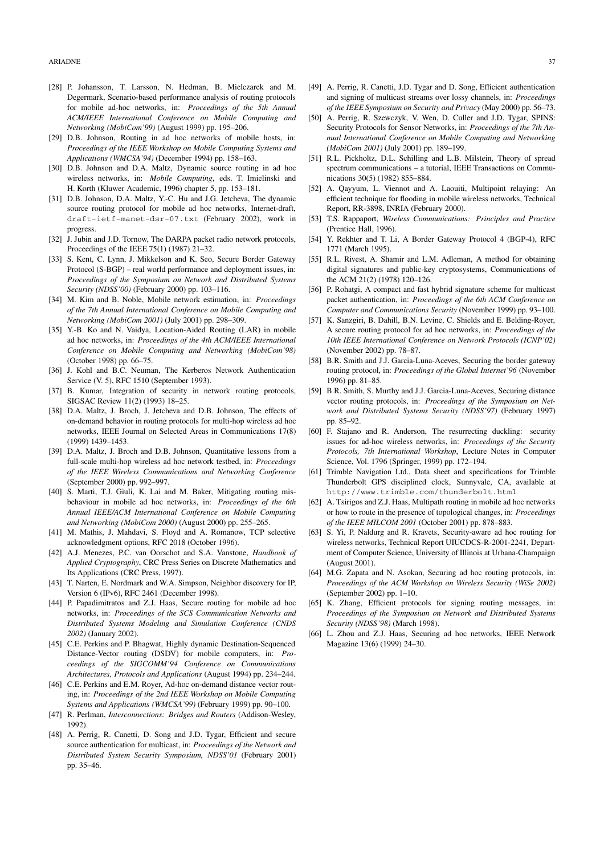- [28] P. Johansson, T. Larsson, N. Hedman, B. Mielczarek and M. Degermark, Scenario-based performance analysis of routing protocols for mobile ad-hoc networks, in: *Proceedings of the 5th Annual ACM/IEEE International Conference on Mobile Computing and Networking (MobiCom'99)* (August 1999) pp. 195–206.
- [29] D.B. Johnson, Routing in ad hoc networks of mobile hosts, in: *Proceedings of the IEEE Workshop on Mobile Computing Systems and Applications (WMCSA'94)* (December 1994) pp. 158–163.
- [30] D.B. Johnson and D.A. Maltz, Dynamic source routing in ad hoc wireless networks, in: *Mobile Computing*, eds. T. Imielinski and H. Korth (Kluwer Academic, 1996) chapter 5, pp. 153–181.
- [31] D.B. Johnson, D.A. Maltz, Y.-C. Hu and J.G. Jetcheva, The dynamic source routing protocol for mobile ad hoc networks, Internet-draft, draft-ietf-manet-dsr-07.txt (February 2002), work in progress.
- [32] J. Jubin and J.D. Tornow, The DARPA packet radio network protocols, Proceedings of the IEEE 75(1) (1987) 21–32.
- [33] S. Kent, C. Lynn, J. Mikkelson and K. Seo, Secure Border Gateway Protocol (S-BGP) – real world performance and deployment issues, in: *Proceedings of the Symposium on Network and Distributed Systems Security (NDSS'00)* (February 2000) pp. 103–116.
- [34] M. Kim and B. Noble, Mobile network estimation, in: *Proceedings of the 7th Annual International Conference on Mobile Computing and Networking (MobiCom 2001)* (July 2001) pp. 298–309.
- [35] Y.-B. Ko and N. Vaidya, Location-Aided Routing (LAR) in mobile ad hoc networks, in: *Proceedings of the 4th ACM/IEEE International Conference on Mobile Computing and Networking (MobiCom'98)* (October 1998) pp. 66–75.
- [36] J. Kohl and B.C. Neuman, The Kerberos Network Authentication Service (V. 5), RFC 1510 (September 1993).
- [37] B. Kumar, Integration of security in network routing protocols, SIGSAC Review 11(2) (1993) 18–25.
- [38] D.A. Maltz, J. Broch, J. Jetcheva and D.B. Johnson, The effects of on-demand behavior in routing protocols for multi-hop wireless ad hoc networks, IEEE Journal on Selected Areas in Communications 17(8) (1999) 1439–1453.
- [39] D.A. Maltz, J. Broch and D.B. Johnson, Quantitative lessons from a full-scale multi-hop wireless ad hoc network testbed, in: *Proceedings of the IEEE Wireless Communications and Networking Conference* (September 2000) pp. 992–997.
- [40] S. Marti, T.J. Giuli, K. Lai and M. Baker, Mitigating routing misbehaviour in mobile ad hoc networks, in: *Proceedings of the 6th Annual IEEE/ACM International Conference on Mobile Computing and Networking (MobiCom 2000)* (August 2000) pp. 255–265.
- [41] M. Mathis, J. Mahdavi, S. Floyd and A. Romanow, TCP selective acknowledgment options, RFC 2018 (October 1996).
- [42] A.J. Menezes, P.C. van Oorschot and S.A. Vanstone, *Handbook of Applied Cryptography*, CRC Press Series on Discrete Mathematics and Its Applications (CRC Press, 1997).
- [43] T. Narten, E. Nordmark and W.A. Simpson, Neighbor discovery for IP, Version 6 (IPv6), RFC 2461 (December 1998).
- [44] P. Papadimitratos and Z.J. Haas, Secure routing for mobile ad hoc networks, in: *Proceedings of the SCS Communication Networks and Distributed Systems Modeling and Simulation Conference (CNDS 2002)* (January 2002).
- [45] C.E. Perkins and P. Bhagwat, Highly dynamic Destination-Sequenced Distance-Vector routing (DSDV) for mobile computers, in: *Proceedings of the SIGCOMM'94 Conference on Communications Architectures, Protocols and Applications* (August 1994) pp. 234–244.
- [46] C.E. Perkins and E.M. Royer, Ad-hoc on-demand distance vector routing, in: *Proceedings of the 2nd IEEE Workshop on Mobile Computing Systems and Applications (WMCSA'99)* (February 1999) pp. 90–100.
- [47] R. Perlman, *Interconnections: Bridges and Routers* (Addison-Wesley, 1992).
- [48] A. Perrig, R. Canetti, D. Song and J.D. Tygar, Efficient and secure source authentication for multicast, in: *Proceedings of the Network and Distributed System Security Symposium, NDSS'01* (February 2001) pp. 35–46.
- [49] A. Perrig, R. Canetti, J.D. Tygar and D. Song, Efficient authentication and signing of multicast streams over lossy channels, in: *Proceedings of the IEEE Symposium on Security and Privacy* (May 2000) pp. 56–73.
- [50] A. Perrig, R. Szewczyk, V. Wen, D. Culler and J.D. Tygar, SPINS: Security Protocols for Sensor Networks, in: *Proceedings of the 7th Annual International Conference on Mobile Computing and Networking (MobiCom 2001)* (July 2001) pp. 189–199.
- [51] R.L. Pickholtz, D.L. Schilling and L.B. Milstein, Theory of spread spectrum communications – a tutorial, IEEE Transactions on Communications 30(5) (1982) 855–884.
- [52] A. Qayyum, L. Viennot and A. Laouiti, Multipoint relaying: An efficient technique for flooding in mobile wireless networks, Technical Report, RR-3898, INRIA (February 2000).
- [53] T.S. Rappaport, *Wireless Communications: Principles and Practice* (Prentice Hall, 1996).
- [54] Y. Rekhter and T. Li, A Border Gateway Protocol 4 (BGP-4), RFC 1771 (March 1995).
- [55] R.L. Rivest, A. Shamir and L.M. Adleman, A method for obtaining digital signatures and public-key cryptosystems, Communications of the ACM 21(2) (1978) 120–126.
- [56] P. Rohatgi, A compact and fast hybrid signature scheme for multicast packet authentication, in: *Proceedings of the 6th ACM Conference on Computer and Communications Security* (November 1999) pp. 93–100.
- [57] K. Sanzgiri, B. Dahill, B.N. Levine, C. Shields and E. Belding-Royer, A secure routing protocol for ad hoc networks, in: *Proceedings of the 10th IEEE International Conference on Network Protocols (ICNP'02)* (November 2002) pp. 78–87.
- [58] B.R. Smith and J.J. Garcia-Luna-Aceves, Securing the border gateway routing protocol, in: *Proceedings of the Global Internet'96* (November 1996) pp. 81–85.
- [59] B.R. Smith, S. Murthy and J.J. Garcia-Luna-Aceves, Securing distance vector routing protocols, in: *Proceedings of the Symposium on Network and Distributed Systems Security (NDSS'97)* (February 1997) pp. 85–92.
- [60] F. Stajano and R. Anderson, The resurrecting duckling: security issues for ad-hoc wireless networks, in: *Proceedings of the Security Protocols, 7th International Workshop*, Lecture Notes in Computer Science, Vol. 1796 (Springer, 1999) pp. 172–194.
- [61] Trimble Navigation Ltd., Data sheet and specifications for Trimble Thunderbolt GPS disciplined clock, Sunnyvale, CA, available at http://www.trimble.com/thunderbolt.html
- [62] A. Tsirigos and Z.J. Haas, Multipath routing in mobile ad hoc networks or how to route in the presence of topological changes, in: *Proceedings of the IEEE MILCOM 2001* (October 2001) pp. 878–883.
- [63] S. Yi, P. Naldurg and R. Kravets, Security-aware ad hoc routing for wireless networks, Technical Report UIUCDCS-R-2001-2241, Department of Computer Science, University of Illinois at Urbana-Champaign (August 2001).
- [64] M.G. Zapata and N. Asokan, Securing ad hoc routing protocols, in: *Proceedings of the ACM Workshop on Wireless Security (WiSe 2002)* (September 2002) pp. 1–10.
- [65] K. Zhang, Efficient protocols for signing routing messages, in: *Proceedings of the Symposium on Network and Distributed Systems Security (NDSS'98)* (March 1998).
- [66] L. Zhou and Z.J. Haas, Securing ad hoc networks, IEEE Network Magazine 13(6) (1999) 24–30.